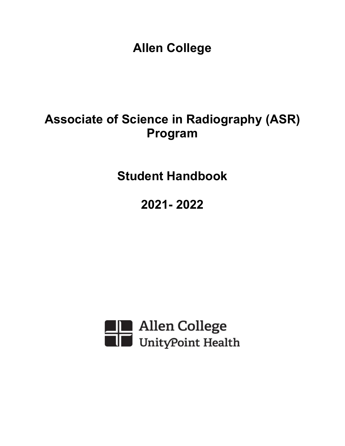**Allen College**

# **Associate of Science in Radiography (ASR) Program**

**Student Handbook**

**2021- 2022**

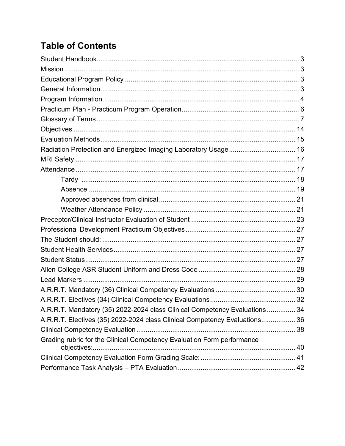# **Table of Contents**

| Radiation Protection and Energized Imaging Laboratory Usage 16              |  |
|-----------------------------------------------------------------------------|--|
|                                                                             |  |
|                                                                             |  |
|                                                                             |  |
|                                                                             |  |
|                                                                             |  |
|                                                                             |  |
|                                                                             |  |
|                                                                             |  |
|                                                                             |  |
|                                                                             |  |
|                                                                             |  |
|                                                                             |  |
|                                                                             |  |
|                                                                             |  |
|                                                                             |  |
| A.R.R.T. Mandatory (35) 2022-2024 class Clinical Competency Evaluations  34 |  |
| A.R.R.T. Electives (35) 2022-2024 class Clinical Competency Evaluations 36  |  |
|                                                                             |  |
| Grading rubric for the Clinical Competency Evaluation Form performance      |  |
|                                                                             |  |
|                                                                             |  |
|                                                                             |  |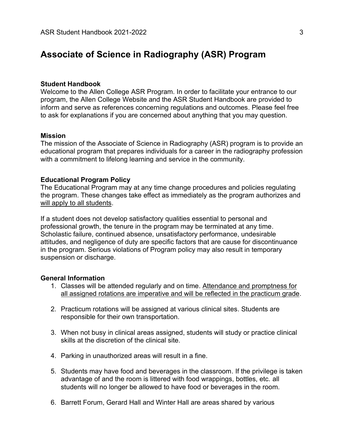# **Associate of Science in Radiography (ASR) Program**

#### <span id="page-2-0"></span>**Student Handbook**

Welcome to the Allen College ASR Program. In order to facilitate your entrance to our program, the Allen College Website and the ASR Student Handbook are provided to inform and serve as references concerning regulations and outcomes. Please feel free to ask for explanations if you are concerned about anything that you may question.

#### <span id="page-2-1"></span>**Mission**

The mission of the Associate of Science in Radiography (ASR) program is to provide an educational program that prepares individuals for a career in the radiography profession with a commitment to lifelong learning and service in the community.

#### <span id="page-2-2"></span>**Educational Program Policy**

The Educational Program may at any time change procedures and policies regulating the program. These changes take effect as immediately as the program authorizes and will apply to all students.

If a student does not develop satisfactory qualities essential to personal and professional growth, the tenure in the program may be terminated at any time. Scholastic failure, continued absence, unsatisfactory performance, undesirable attitudes, and negligence of duty are specific factors that are cause for discontinuance in the program. Serious violations of Program policy may also result in temporary suspension or discharge.

#### <span id="page-2-3"></span>**General Information**

- 1. Classes will be attended regularly and on time. Attendance and promptness for all assigned rotations are imperative and will be reflected in the practicum grade.
- 2. Practicum rotations will be assigned at various clinical sites. Students are responsible for their own transportation.
- 3. When not busy in clinical areas assigned, students will study or practice clinical skills at the discretion of the clinical site.
- 4. Parking in unauthorized areas will result in a fine.
- 5. Students may have food and beverages in the classroom. If the privilege is taken advantage of and the room is littered with food wrappings, bottles, etc. all students will no longer be allowed to have food or beverages in the room.
- 6. Barrett Forum, Gerard Hall and Winter Hall are areas shared by various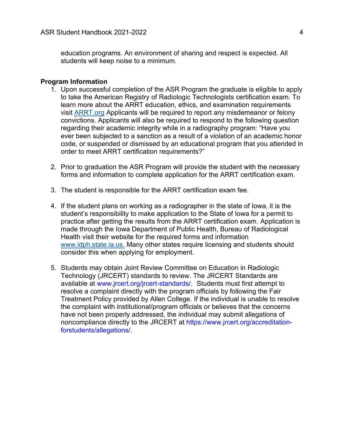education programs. An environment of sharing and respect is expected. All students will keep noise to a minimum.

#### <span id="page-3-0"></span>**Program Information**

- 1. Upon successful completion of the ASR Program the graduate is eligible to apply to take the American Registry of Radiologic Technologists certification exam. To learn more about the ARRT education, ethics, and examination requirements visit [ARRT.org](https://www.arrt.org/About-ARRT/) Applicants will be required to report any misdemeanor or felony convictions. Applicants will also be required to respond to the following question regarding their academic integrity while in a radiography program: "Have you ever been subjected to a sanction as a result of a violation of an academic honor code, or suspended or dismissed by an educational program that you attended in order to meet ARRT certification requirements?"
- 2. Prior to graduation the ASR Program will provide the student with the necessary forms and information to complete application for the ARRT certification exam.
- 3. The student is responsible for the ARRT certification exam fee.
- 4. If the student plans on working as a radiographer in the state of Iowa, it is the student's responsibility to make application to the State of Iowa for a permit to practice after getting the results from the ARRT certification exam. Application is made through the Iowa Department of Public Health, Bureau of Radiological Health visit their website for the required forms and information [www.idph.state.ia.us.](file://///IHS/ALO/ALO2_USERS/SHARED/Allen%20College/Academic%20Affairs/ASR/HANDBOOK/www.idph.state.ia.us) Many other states require licensing and students should consider this when applying for employment.
- 5. Students may obtain Joint Review Committee on Education in Radiologic Technology (JRCERT) standards to review. The JRCERT Standards are available at www.jrcert.org/jrcert-standards/. Students must first attempt to resolve a complaint directly with the program officials by following the Fair Treatment Policy provided by Allen College. If the individual is unable to resolve the complaint with institutional/program officials or believes that the concerns have not been properly addressed, the individual may submit allegations of noncompliance directly to the JRCERT at https://www.jrcert.org/accreditationforstudents/allegations/.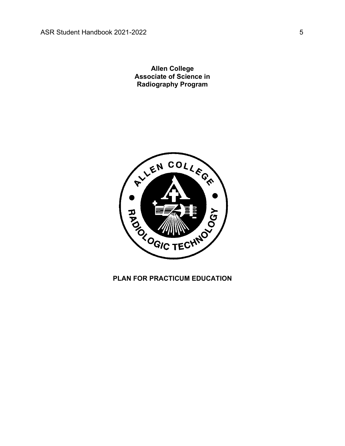**Allen College Associate of Science in Radiography Program**



# **PLAN FOR PRACTICUM EDUCATION**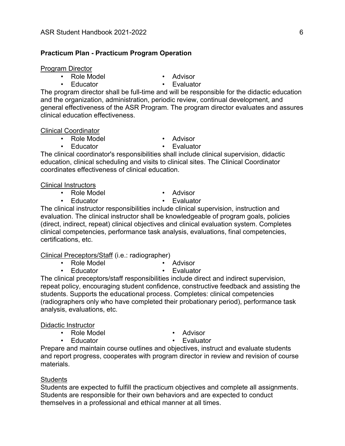#### <span id="page-5-0"></span>**Practicum Plan - Practicum Program Operation**

#### Program Director

- Role Model Advisor
- 
- 
- Educator Evaluator

The program director shall be full-time and will be responsible for the didactic education and the organization, administration, periodic review, continual development, and general effectiveness of the ASR Program. The program director evaluates and assures clinical education effectiveness.

#### Clinical Coordinator

- Role Model  **Advisor** 
	-
- Educator Evaluator

The clinical coordinator's responsibilities shall include clinical supervision, didactic education, clinical scheduling and visits to clinical sites. The Clinical Coordinator coordinates effectiveness of clinical education.

#### Clinical Instructors

- Role Model  **Advisor** 
	-
- 
- Educator Evaluator

The clinical instructor responsibilities include clinical supervision, instruction and evaluation. The clinical instructor shall be knowledgeable of program goals, policies (direct, indirect, repeat) clinical objectives and clinical evaluation system. Completes clinical competencies, performance task analysis, evaluations, final competencies, certifications, etc.

#### Clinical Preceptors/Staff (i.e.: radiographer)

- Role Model  **Advisor** 
	-

• Educator • Fvaluator

The clinical preceptors/staff responsibilities include direct and indirect supervision, repeat policy, encouraging student confidence, constructive feedback and assisting the students. Supports the educational process. Completes: clinical competencies (radiographers only who have completed their probationary period), performance task analysis, evaluations, etc.

#### Didactic Instructor

- Role Model  **Advisor** 
	-
- 
- Educator Evaluator

Prepare and maintain course outlines and objectives, instruct and evaluate students and report progress, cooperates with program director in review and revision of course materials.

#### **Students**

Students are expected to fulfill the practicum objectives and complete all assignments. Students are responsible for their own behaviors and are expected to conduct themselves in a professional and ethical manner at all times.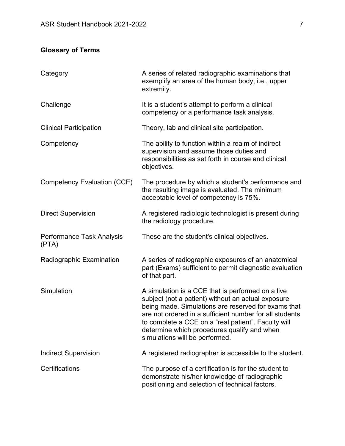# <span id="page-6-0"></span>**Glossary of Terms**

| Category                           | A series of related radiographic examinations that<br>exemplify an area of the human body, i.e., upper<br>extremity.                                                                                                                                                                                                                                              |
|------------------------------------|-------------------------------------------------------------------------------------------------------------------------------------------------------------------------------------------------------------------------------------------------------------------------------------------------------------------------------------------------------------------|
| Challenge                          | It is a student's attempt to perform a clinical<br>competency or a performance task analysis.                                                                                                                                                                                                                                                                     |
| <b>Clinical Participation</b>      | Theory, lab and clinical site participation.                                                                                                                                                                                                                                                                                                                      |
| Competency                         | The ability to function within a realm of indirect<br>supervision and assume those duties and<br>responsibilities as set forth in course and clinical<br>objectives.                                                                                                                                                                                              |
| <b>Competency Evaluation (CCE)</b> | The procedure by which a student's performance and<br>the resulting image is evaluated. The minimum<br>acceptable level of competency is 75%.                                                                                                                                                                                                                     |
| <b>Direct Supervision</b>          | A registered radiologic technologist is present during<br>the radiology procedure.                                                                                                                                                                                                                                                                                |
| Performance Task Analysis<br>(PTA) | These are the student's clinical objectives.                                                                                                                                                                                                                                                                                                                      |
| Radiographic Examination           | A series of radiographic exposures of an anatomical<br>part (Exams) sufficient to permit diagnostic evaluation<br>of that part.                                                                                                                                                                                                                                   |
| Simulation                         | A simulation is a CCE that is performed on a live<br>subject (not a patient) without an actual exposure<br>being made. Simulations are reserved for exams that<br>are not ordered in a sufficient number for all students<br>to complete a CCE on a "real patient". Faculty will<br>determine which procedures qualify and when<br>simulations will be performed. |
| <b>Indirect Supervision</b>        | A registered radiographer is accessible to the student.                                                                                                                                                                                                                                                                                                           |
| Certifications                     | The purpose of a certification is for the student to<br>demonstrate his/her knowledge of radiographic<br>positioning and selection of technical factors.                                                                                                                                                                                                          |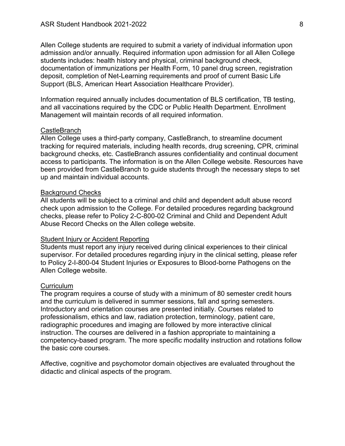Allen College students are required to submit a variety of individual information upon admission and/or annually. Required information upon admission for all Allen College students includes: health history and physical, criminal background check, documentation of immunizations per Health Form, 10 panel drug screen, registration deposit, completion of Net-Learning requirements and proof of current Basic Life Support (BLS, American Heart Association Healthcare Provider).

Information required annually includes documentation of BLS certification, TB testing, and all vaccinations required by the CDC or Public Health Department. Enrollment Management will maintain records of all required information.

#### **CastleBranch**

Allen College uses a third-party company, CastleBranch, to streamline document tracking for required materials, including health records, drug screening, CPR, criminal background checks, etc. CastleBranch assures confidentiality and continual document access to participants. The information is on the Allen College website. Resources have been provided from CastleBranch to guide students through the necessary steps to set up and maintain individual accounts.

#### Background Checks

All students will be subject to a criminal and child and dependent adult abuse record check upon admission to the College. For detailed procedures regarding background checks, please refer to Policy 2-C-800-02 Criminal and Child and Dependent Adult Abuse Record Checks on the Allen college website.

#### Student Injury or Accident Reporting

Students must report any injury received during clinical experiences to their clinical supervisor. For detailed procedures regarding injury in the clinical setting, please refer to Policy 2-I-800-04 Student Injuries or Exposures to Blood-borne Pathogens on the Allen College website.

#### **Curriculum**

The program requires a course of study with a minimum of 80 semester credit hours and the curriculum is delivered in summer sessions, fall and spring semesters. Introductory and orientation courses are presented initially. Courses related to professionalism, ethics and law, radiation protection, terminology, patient care, radiographic procedures and imaging are followed by more interactive clinical instruction. The courses are delivered in a fashion appropriate to maintaining a competency-based program. The more specific modality instruction and rotations follow the basic core courses.

Affective, cognitive and psychomotor domain objectives are evaluated throughout the didactic and clinical aspects of the program.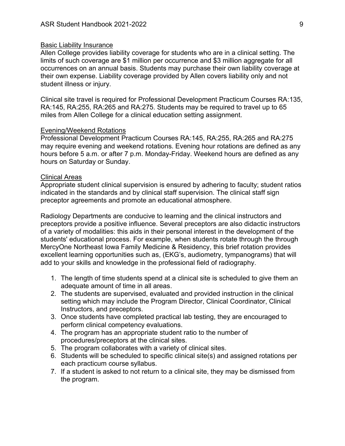#### Basic Liability Insurance

Allen College provides liability coverage for students who are in a clinical setting. The limits of such coverage are \$1 million per occurrence and \$3 million aggregate for all occurrences on an annual basis. Students may purchase their own liability coverage at their own expense. Liability coverage provided by Allen covers liability only and not student illness or injury.

Clinical site travel is required for Professional Development Practicum Courses RA:135, RA:145, RA:255, RA:265 and RA:275. Students may be required to travel up to 65 miles from Allen College for a clinical education setting assignment.

#### Evening/Weekend Rotations

Professional Development Practicum Courses RA:145, RA:255, RA:265 and RA:275 may require evening and weekend rotations. Evening hour rotations are defined as any hours before 5 a.m. or after 7 p.m. Monday-Friday. Weekend hours are defined as any hours on Saturday or Sunday.

#### Clinical Areas

Appropriate student clinical supervision is ensured by adhering to faculty; student ratios indicated in the standards and by clinical staff supervision. The clinical staff sign preceptor agreements and promote an educational atmosphere.

Radiology Departments are conducive to learning and the clinical instructors and preceptors provide a positive influence. Several preceptors are also didactic instructors of a variety of modalities: this aids in their personal interest in the development of the students' educational process. For example, when students rotate through the through MercyOne Northeast Iowa Family Medicine & Residency, this brief rotation provides excellent learning opportunities such as, (EKG's, audiometry, tympanograms) that will add to your skills and knowledge in the professional field of radiography.

- 1. The length of time students spend at a clinical site is scheduled to give them an adequate amount of time in all areas.
- 2. The students are supervised, evaluated and provided instruction in the clinical setting which may include the Program Director, Clinical Coordinator, Clinical Instructors, and preceptors.
- 3. Once students have completed practical lab testing, they are encouraged to perform clinical competency evaluations.
- 4. The program has an appropriate student ratio to the number of procedures/preceptors at the clinical sites.
- 5. The program collaborates with a variety of clinical sites.
- 6. Students will be scheduled to specific clinical site(s) and assigned rotations per each practicum course syllabus.
- 7. If a student is asked to not return to a clinical site, they may be dismissed from the program.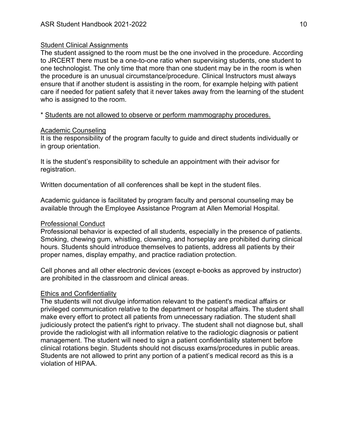### **Student Clinical Assignments**

The student assigned to the room must be the one involved in the procedure. According to JRCERT there must be a one-to-one ratio when supervising students, one student to one technologist. The only time that more than one student may be in the room is when the procedure is an unusual circumstance/procedure. Clinical Instructors must always ensure that if another student is assisting in the room, for example helping with patient care if needed for patient safety that it never takes away from the learning of the student who is assigned to the room.

\* Students are not allowed to observe or perform mammography procedures.

## Academic Counseling

It is the responsibility of the program faculty to guide and direct students individually or in group orientation.

It is the student's responsibility to schedule an appointment with their advisor for registration.

Written documentation of all conferences shall be kept in the student files.

Academic guidance is facilitated by program faculty and personal counseling may be available through the Employee Assistance Program at Allen Memorial Hospital.

## Professional Conduct

Professional behavior is expected of all students, especially in the presence of patients. Smoking, chewing gum, whistling, clowning, and horseplay are prohibited during clinical hours. Students should introduce themselves to patients, address all patients by their proper names, display empathy, and practice radiation protection.

Cell phones and all other electronic devices (except e-books as approved by instructor) are prohibited in the classroom and clinical areas.

# Ethics and Confidentiality

The students will not divulge information relevant to the patient's medical affairs or privileged communication relative to the department or hospital affairs. The student shall make every effort to protect all patients from unnecessary radiation. The student shall judiciously protect the patient's right to privacy. The student shall not diagnose but, shall provide the radiologist with all information relative to the radiologic diagnosis or patient management. The student will need to sign a patient confidentiality statement before clinical rotations begin. Students should not discuss exams/procedures in public areas. Students are not allowed to print any portion of a patient's medical record as this is a violation of HIPAA.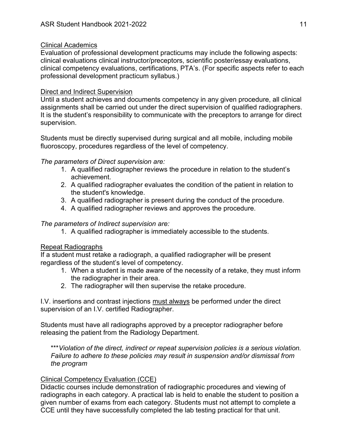# Clinical Academics

Evaluation of professional development practicums may include the following aspects: clinical evaluations clinical instructor/preceptors, scientific poster/essay evaluations, clinical competency evaluations, certifications, PTA's. (For specific aspects refer to each professional development practicum syllabus.)

# Direct and Indirect Supervision

Until a student achieves and documents competency in any given procedure, all clinical assignments shall be carried out under the direct supervision of qualified radiographers. It is the student's responsibility to communicate with the preceptors to arrange for direct supervision.

Students must be directly supervised during surgical and all mobile, including mobile fluoroscopy, procedures regardless of the level of competency.

# *The parameters of Direct supervision are:*

- 1. A qualified radiographer reviews the procedure in relation to the student's achievement.
- 2. A qualified radiographer evaluates the condition of the patient in relation to the student's knowledge.
- 3. A qualified radiographer is present during the conduct of the procedure.
- 4. A qualified radiographer reviews and approves the procedure*.*

# *The parameters of Indirect supervision are:*

1. A qualified radiographer is immediately accessible to the students.

# Repeat Radiographs

If a student must retake a radiograph, a qualified radiographer will be present regardless of the student's level of competency.

- 1. When a student is made aware of the necessity of a retake, they must inform the radiographer in their area.
- 2. The radiographer will then supervise the retake procedure.

I.V. insertions and contrast injections must always be performed under the direct supervision of an I.V. certified Radiographer.

Students must have all radiographs approved by a preceptor radiographer before releasing the patient from the Radiology Department.

\*\*\**Violation of the direct, indirect or repeat supervision policies is a serious violation. Failure to adhere to these policies may result in suspension and/or dismissal from the program*

# Clinical Competency Evaluation (CCE)

Didactic courses include demonstration of radiographic procedures and viewing of radiographs in each category. A practical lab is held to enable the student to position a given number of exams from each category. Students must not attempt to complete a CCE until they have successfully completed the lab testing practical for that unit.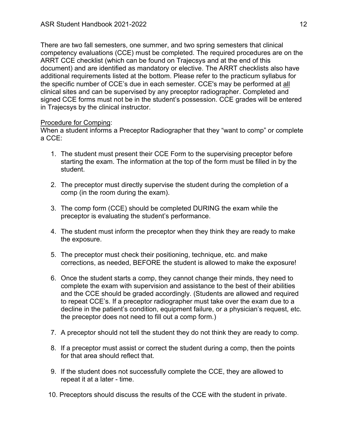There are two fall semesters, one summer, and two spring semesters that clinical competency evaluations (CCE) must be completed. The required procedures are on the ARRT CCE checklist (which can be found on Trajecsys and at the end of this document) and are identified as mandatory or elective. The ARRT checklists also have additional requirements listed at the bottom. Please refer to the practicum syllabus for the specific number of CCE's due in each semester. CCE's may be performed at all clinical sites and can be supervised by any preceptor radiographer. Completed and signed CCE forms must not be in the student's possession. CCE grades will be entered in Trajecsys by the clinical instructor.

## Procedure for Comping:

When a student informs a Preceptor Radiographer that they "want to comp" or complete a CCE:

- 1. The student must present their CCE Form to the supervising preceptor before starting the exam. The information at the top of the form must be filled in by the student.
- 2. The preceptor must directly supervise the student during the completion of a comp (in the room during the exam).
- 3. The comp form (CCE) should be completed DURING the exam while the preceptor is evaluating the student's performance.
- 4. The student must inform the preceptor when they think they are ready to make the exposure.
- 5. The preceptor must check their positioning, technique, etc. and make corrections, as needed, BEFORE the student is allowed to make the exposure!
- 6. Once the student starts a comp, they cannot change their minds, they need to complete the exam with supervision and assistance to the best of their abilities and the CCE should be graded accordingly. (Students are allowed and required to repeat CCE's. If a preceptor radiographer must take over the exam due to a decline in the patient's condition, equipment failure, or a physician's request, etc. the preceptor does not need to fill out a comp form.)
- 7. A preceptor should not tell the student they do not think they are ready to comp.
- 8. If a preceptor must assist or correct the student during a comp, then the points for that area should reflect that.
- 9. If the student does not successfully complete the CCE, they are allowed to repeat it at a later - time.
- 10. Preceptors should discuss the results of the CCE with the student in private.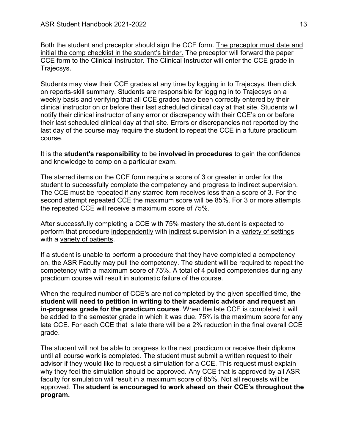Both the student and preceptor should sign the CCE form. The preceptor must date and initial the comp checklist in the student's binder. The preceptor will forward the paper CCE form to the Clinical Instructor. The Clinical Instructor will enter the CCE grade in Trajecsys.

Students may view their CCE grades at any time by logging in to Trajecsys, then click on reports-skill summary. Students are responsible for logging in to Trajecsys on a weekly basis and verifying that all CCE grades have been correctly entered by their clinical instructor on or before their last scheduled clinical day at that site. Students will notify their clinical instructor of any error or discrepancy with their CCE's on or before their last scheduled clinical day at that site. Errors or discrepancies not reported by the last day of the course may require the student to repeat the CCE in a future practicum course.

It is the **student's responsibility** to be **involved in procedures** to gain the confidence and knowledge to comp on a particular exam.

The starred items on the CCE form require a score of 3 or greater in order for the student to successfully complete the competency and progress to indirect supervision. The CCE must be repeated if any starred item receives less than a score of 3. For the second attempt repeated CCE the maximum score will be 85%. For 3 or more attempts the repeated CCE will receive a maximum score of 75%.

After successfully completing a CCE with 75% mastery the student is expected to perform that procedure independently with indirect supervision in a variety of settings with a variety of patients.

If a student is unable to perform a procedure that they have completed a competency on, the ASR Faculty may pull the competency. The student will be required to repeat the competency with a maximum score of 75%. A total of 4 pulled competencies during any practicum course will result in automatic failure of the course.

When the required number of CCE's are not completed by the given specified time, **the student will need to petition in writing to their academic advisor and request an in-progress grade for the practicum course**. When the late CCE is completed it will be added to the semester grade in which it was due. 75% is the maximum score for any late CCE. For each CCE that is late there will be a 2% reduction in the final overall CCE grade.

The student will not be able to progress to the next practicum or receive their diploma until all course work is completed. The student must submit a written request to their advisor if they would like to request a simulation for a CCE. This request must explain why they feel the simulation should be approved. Any CCE that is approved by all ASR faculty for simulation will result in a maximum score of 85%. Not all requests will be approved. The **student is encouraged to work ahead on their CCE's throughout the program.**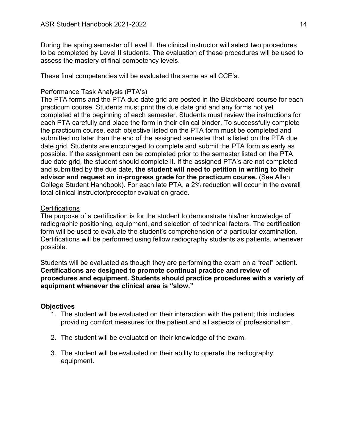During the spring semester of Level II, the clinical instructor will select two procedures to be completed by Level II students. The evaluation of these procedures will be used to assess the mastery of final competency levels.

These final competencies will be evaluated the same as all CCE's.

## Performance Task Analysis (PTA's)

The PTA forms and the PTA due date grid are posted in the Blackboard course for each practicum course. Students must print the due date grid and any forms not yet completed at the beginning of each semester. Students must review the instructions for each PTA carefully and place the form in their clinical binder. To successfully complete the practicum course, each objective listed on the PTA form must be completed and submitted no later than the end of the assigned semester that is listed on the PTA due date grid. Students are encouraged to complete and submit the PTA form as early as possible. If the assignment can be completed prior to the semester listed on the PTA due date grid, the student should complete it. If the assigned PTA's are not completed and submitted by the due date, **the student will need to petition in writing to their advisor and request an in-progress grade for the practicum course.** (See Allen College Student Handbook). For each late PTA, a 2% reduction will occur in the overall total clinical instructor/preceptor evaluation grade.

## **Certifications**

The purpose of a certification is for the student to demonstrate his/her knowledge of radiographic positioning, equipment, and selection of technical factors. The certification form will be used to evaluate the student's comprehension of a particular examination. Certifications will be performed using fellow radiography students as patients, whenever possible.

Students will be evaluated as though they are performing the exam on a "real" patient. **Certifications are designed to promote continual practice and review of procedures and equipment. Students should practice procedures with a variety of equipment whenever the clinical area is "slow."**

# <span id="page-13-0"></span>**Objectives**

- 1. The student will be evaluated on their interaction with the patient; this includes providing comfort measures for the patient and all aspects of professionalism.
- 2. The student will be evaluated on their knowledge of the exam.
- 3. The student will be evaluated on their ability to operate the radiography equipment.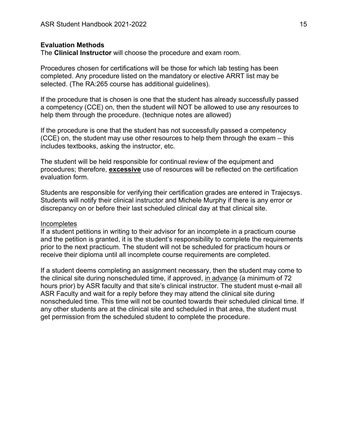#### <span id="page-14-0"></span>**Evaluation Methods**

The **Clinical Instructor** will choose the procedure and exam room.

Procedures chosen for certifications will be those for which lab testing has been completed. Any procedure listed on the mandatory or elective ARRT list may be selected. (The RA:265 course has additional guidelines).

If the procedure that is chosen is one that the student has already successfully passed a competency (CCE) on, then the student will NOT be allowed to use any resources to help them through the procedure. (technique notes are allowed)

If the procedure is one that the student has not successfully passed a competency (CCE) on, the student may use other resources to help them through the exam – this includes textbooks, asking the instructor, etc.

The student will be held responsible for continual review of the equipment and procedures; therefore, **excessive** use of resources will be reflected on the certification evaluation form.

Students are responsible for verifying their certification grades are entered in Trajecsys. Students will notify their clinical instructor and Michele Murphy if there is any error or discrepancy on or before their last scheduled clinical day at that clinical site.

#### **Incompletes**

If a student petitions in writing to their advisor for an incomplete in a practicum course and the petition is granted, it is the student's responsibility to complete the requirements prior to the next practicum. The student will not be scheduled for practicum hours or receive their diploma until all incomplete course requirements are completed.

If a student deems completing an assignment necessary, then the student may come to the clinical site during nonscheduled time, if approved, in advance (a minimum of 72 hours prior) by ASR faculty and that site's clinical instructor. The student must e-mail all ASR Faculty and wait for a reply before they may attend the clinical site during nonscheduled time. This time will not be counted towards their scheduled clinical time. If any other students are at the clinical site and scheduled in that area, the student must get permission from the scheduled student to complete the procedure.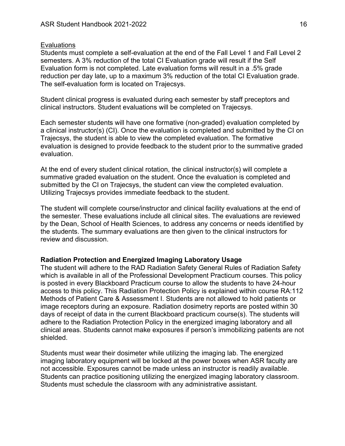#### **Evaluations**

Students must complete a self-evaluation at the end of the Fall Level 1 and Fall Level 2 semesters. A 3% reduction of the total CI Evaluation grade will result if the Self Evaluation form is not completed. Late evaluation forms will result in a .5% grade reduction per day late, up to a maximum 3% reduction of the total CI Evaluation grade. The self-evaluation form is located on Trajecsys.

Student clinical progress is evaluated during each semester by staff preceptors and clinical instructors. Student evaluations will be completed on Trajecsys.

Each semester students will have one formative (non-graded) evaluation completed by a clinical instructor(s) (CI). Once the evaluation is completed and submitted by the CI on Trajecsys, the student is able to view the completed evaluation. The formative evaluation is designed to provide feedback to the student prior to the summative graded evaluation.

At the end of every student clinical rotation, the clinical instructor(s) will complete a summative graded evaluation on the student. Once the evaluation is completed and submitted by the CI on Trajecsys, the student can view the completed evaluation. Utilizing Trajecsys provides immediate feedback to the student.

The student will complete course/instructor and clinical facility evaluations at the end of the semester. These evaluations include all clinical sites. The evaluations are reviewed by the Dean, School of Health Sciences, to address any concerns or needs identified by the students. The summary evaluations are then given to the clinical instructors for review and discussion.

#### <span id="page-15-0"></span>**Radiation Protection and Energized Imaging Laboratory Usage**

The student will adhere to the RAD Radiation Safety General Rules of Radiation Safety which is available in all of the Professional Development Practicum courses. This policy is posted in every Blackboard Practicum course to allow the students to have 24-hour access to this policy. This Radiation Protection Policy is explained within course RA:112 Methods of Patient Care & Assessment I. Students are not allowed to hold patients or image receptors during an exposure. Radiation dosimetry reports are posted within 30 days of receipt of data in the current Blackboard practicum course(s). The students will adhere to the Radiation Protection Policy in the energized imaging laboratory and all clinical areas. Students cannot make exposures if person's immobilizing patients are not shielded.

Students must wear their dosimeter while utilizing the imaging lab. The energized imaging laboratory equipment will be locked at the power boxes when ASR faculty are not accessible. Exposures cannot be made unless an instructor is readily available. Students can practice positioning utilizing the energized imaging laboratory classroom. Students must schedule the classroom with any administrative assistant.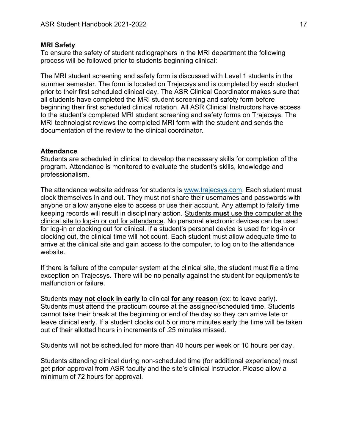#### <span id="page-16-0"></span>**MRI Safety**

To ensure the safety of student radiographers in the MRI department the following process will be followed prior to students beginning clinical:

The MRI student screening and safety form is discussed with Level 1 students in the summer semester. The form is located on Trajecsys and is completed by each student prior to their first scheduled clinical day. The ASR Clinical Coordinator makes sure that all students have completed the MRI student screening and safety form before beginning their first scheduled clinical rotation. All ASR Clinical Instructors have access to the student's completed MRI student screening and safety forms on Trajecsys. The MRI technologist reviews the completed MRI form with the student and sends the documentation of the review to the clinical coordinator.

#### <span id="page-16-1"></span>**Attendance**

Students are scheduled in clinical to develop the necessary skills for completion of the program. Attendance is monitored to evaluate the student's skills, knowledge and professionalism.

The attendance website address for students is [www.trajecsys.com.](http://www.trajecsys.com/) Each student must clock themselves in and out. They must not share their usernames and passwords with anyone or allow anyone else to access or use their account. Any attempt to falsify time keeping records will result in disciplinary action. Students **must** use the computer at the clinical site to log-in or out for attendance. No personal electronic devices can be used for log-in or clocking out for clinical. If a student's personal device is used for log-in or clocking out, the clinical time will not count. Each student must allow adequate time to arrive at the clinical site and gain access to the computer, to log on to the attendance website.

If there is failure of the computer system at the clinical site, the student must file a time exception on Trajecsys. There will be no penalty against the student for equipment/site malfunction or failure.

Students **may not clock in early** to clinical **for any reason** (ex: to leave early). Students must attend the practicum course at the assigned/scheduled time. Students cannot take their break at the beginning or end of the day so they can arrive late or leave clinical early. If a student clocks out 5 or more minutes early the time will be taken out of their allotted hours in increments of 25 minutes missed.

Students will not be scheduled for more than 40 hours per week or 10 hours per day.

Students attending clinical during non-scheduled time (for additional experience) must get prior approval from ASR faculty and the site's clinical instructor. Please allow a minimum of 72 hours for approval.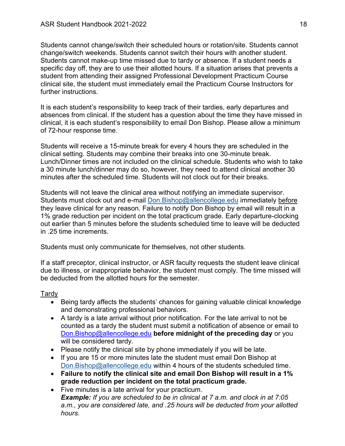Students cannot change/switch their scheduled hours or rotation/site. Students cannot change/switch weekends. Students cannot switch their hours with another student. Students cannot make-up time missed due to tardy or absence. If a student needs a specific day off, they are to use their allotted hours. If a situation arises that prevents a student from attending their assigned Professional Development Practicum Course clinical site, the student must immediately email the Practicum Course Instructors for further instructions.

It is each student's responsibility to keep track of their tardies, early departures and absences from clinical. If the student has a question about the time they have missed in clinical, it is each student's responsibility to email Don Bishop. Please allow a minimum of 72-hour response time.

Students will receive a 15-minute break for every 4 hours they are scheduled in the clinical setting. Students may combine their breaks into one 30-minute break. Lunch/Dinner times are not included on the clinical schedule. Students who wish to take a 30 minute lunch/dinner may do so, however, they need to attend clinical another 30 minutes after the scheduled time. Students will not clock out for their breaks.

Students will not leave the clinical area without notifying an immediate supervisor. Students must clock out and e-mail [Don.Bishop@allencollege.edu](mailto:Don.Bishop@allencollege.edu) immediately before they leave clinical for any reason. Failure to notify Don Bishop by email will result in a 1% grade reduction per incident on the total practicum grade. Early departure-clocking out earlier than 5 minutes before the students scheduled time to leave will be deducted in .25 time increments.

Students must only communicate for themselves, not other students.

If a staff preceptor, clinical instructor, or ASR faculty requests the student leave clinical due to illness, or inappropriate behavior, the student must comply. The time missed will be deducted from the allotted hours for the semester.

# <span id="page-17-0"></span>Tardy

- Being tardy affects the students' chances for gaining valuable clinical knowledge and demonstrating professional behaviors.
- A tardy is a late arrival without prior notification. For the late arrival to not be counted as a tardy the student must submit a notification of absence or email to [Don.Bishop@allencollege.edu](mailto:Don.Bishop@allencollege.edu) **before midnight of the preceding day** or you will be considered tardy.
- Please notify the clinical site by phone immediately if you will be late.
- If you are 15 or more minutes late the student must email Don Bishop at [Don.Bishop@allencollege.edu](mailto:Don.Bishop@allencollege.edu) within 4 hours of the students scheduled time.
- **Failure to notify the clinical site and email Don Bishop will result in a 1% grade reduction per incident on the total practicum grade.**
- Five minutes is a late arrival for your practicum. *Example: If you are scheduled to be in clinical at 7 a.m. and clock in at 7:05 a.m., you are considered late, and .25 hours will be deducted from your allotted hours.*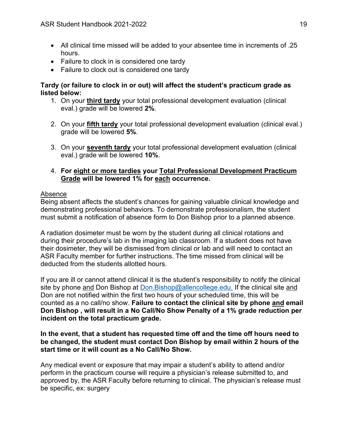- All clinical time missed will be added to your absentee time in increments of .25 hours.
- Failure to clock in is considered one tardy
- Failure to clock out is considered one tardy

# **Tardy (or failure to clock in or out) will affect the student's practicum grade as listed below:**

- 1. On your **third tardy** your total professional development evaluation (clinical eval.) grade will be lowered **2%**.
- 2. On your **fifth tardy** your total professional development evaluation (clinical eval.) grade will be lowered **5%**.
- 3. On your **seventh tardy** your total professional development evaluation (clinical eval.) grade will be lowered **10%**.
- 4. **For eight or more tardies your Total Professional Development Practicum Grade will be lowered 1% for each occurrence.**

# <span id="page-18-0"></span>Absence

Being absent affects the student's chances for gaining valuable clinical knowledge and demonstrating professional behaviors. To demonstrate professionalism, the student must submit a notification of absence form to Don Bishop prior to a planned absence.

A radiation dosimeter must be worn by the student during all clinical rotations and during their procedure's lab in the imaging lab classroom. If a student does not have their dosimeter, they will be dismissed from clinical or lab and will need to contact an ASR Faculty member for further instructions. The time missed from clinical will be deducted from the students allotted hours.

If you are ill or cannot attend clinical it is the student's responsibility to notify the clinical site by phone and Don Bishop at [Don.Bishop@allencollege.edu.](mailto:Don.Bishop@allencollege.edu) If the clinical site and Don are not notified within the first two hours of your scheduled time, this will be counted as a no call/no show. **Failure to contact the clinical site by phone and email Don Bishop , will result in a No Call/No Show Penalty of a 1% grade reduction per incident on the total practicum grade.**

# **In the event, that a student has requested time off and the time off hours need to be changed, the student must contact Don Bishop by email within 2 hours of the start time or it will count as a No Call/No Show.**

Any medical event or exposure that may impair a student's ability to attend and/or perform in the practicum course will require a physician's release submitted to, and approved by, the ASR Faculty before returning to clinical. The physician's release must be specific, ex: surgery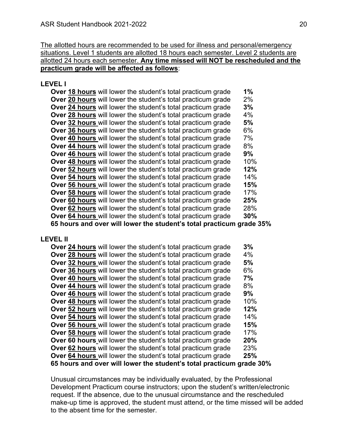The allotted hours are recommended to be used for illness and personal/emergency situations. Level 1 students are allotted 18 hours each semester. Level 2 students are allotted 24 hours each semester. **Any time missed will NOT be rescheduled and the practicum grade will be affected as follows**:

#### **LEVEL I**

| Over 18 hours will lower the student's total practicum grade         | 1%  |
|----------------------------------------------------------------------|-----|
| Over 20 hours will lower the student's total practicum grade         | 2%  |
| Over 24 hours will lower the student's total practicum grade         | 3%  |
| Over 28 hours will lower the student's total practicum grade         | 4%  |
| Over 32 hours will lower the student's total practicum grade         | 5%  |
| Over 36 hours will lower the student's total practicum grade         | 6%  |
| Over 40 hours will lower the student's total practicum grade         | 7%  |
| Over 44 hours will lower the student's total practicum grade         | 8%  |
| Over 46 hours will lower the student's total practicum grade         | 9%  |
| <b>Over 48 hours</b> will lower the student's total practicum grade  | 10% |
| Over 52 hours will lower the student's total practicum grade         | 12% |
| Over 54 hours will lower the student's total practicum grade         | 14% |
| Over 56 hours will lower the student's total practicum grade         | 15% |
| Over 58 hours will lower the student's total practicum grade         | 17% |
| Over 60 hours will lower the student's total practicum grade         | 25% |
| Over 62 hours will lower the student's total practicum grade         | 28% |
| Over 64 hours will lower the student's total practicum grade         | 30% |
| 65 hours and over will lower the student's total practicum grade 35% |     |

#### **LEVEL II**

| Over 24 hours will lower the student's total practicum grade         | 3%  |
|----------------------------------------------------------------------|-----|
| <b>Over 28 hours</b> will lower the student's total practicum grade  | 4%  |
| <b>Over 32 hours</b> will lower the student's total practicum grade  | 5%  |
| Over 36 hours will lower the student's total practicum grade         | 6%  |
| <b>Over 40 hours</b> will lower the student's total practicum grade  | 7%  |
| <b>Over 44 hours</b> will lower the student's total practicum grade  | 8%  |
| Over 46 hours will lower the student's total practicum grade         | 9%  |
| Over 48 hours will lower the student's total practicum grade         | 10% |
| Over 52 hours will lower the student's total practicum grade         | 12% |
| Over 54 hours will lower the student's total practicum grade         | 14% |
| Over 56 hours will lower the student's total practicum grade         | 15% |
| Over 58 hours will lower the student's total practicum grade         | 17% |
| Over 60 hours will lower the student's total practicum grade         | 20% |
| Over 62 hours will lower the student's total practicum grade         | 23% |
| Over 64 hours will lower the student's total practicum grade         | 25% |
| 65 hours and over will lower the student's total practicum grade 30% |     |

Unusual circumstances may be individually evaluated, by the Professional Development Practicum course instructors; upon the student's written/electronic request. If the absence, due to the unusual circumstance and the rescheduled make-up time is approved, the student must attend, or the time missed will be added to the absent time for the semester.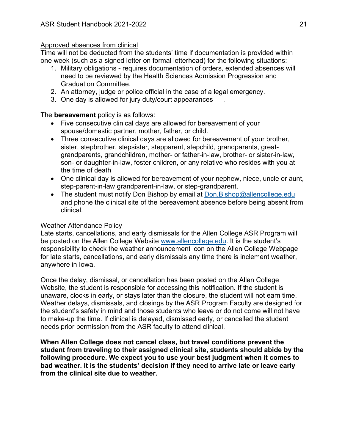## <span id="page-20-0"></span>Approved absences from clinical

Time will not be deducted from the students' time if documentation is provided within one week (such as a signed letter on formal letterhead) for the following situations:

- 1. Military obligations requires documentation of orders, extended absences will need to be reviewed by the Health Sciences Admission Progression and Graduation Committee.
- 2. An attorney, judge or police official in the case of a legal emergency.
- 3. One day is allowed for jury duty/court appearances .

The **bereavement** policy is as follows:

- Five consecutive clinical days are allowed for bereavement of your spouse/domestic partner, mother, father, or child.
- Three consecutive clinical days are allowed for bereavement of your brother, sister, stepbrother, stepsister, stepparent, stepchild, grandparents, greatgrandparents, grandchildren, mother- or father-in-law, brother- or sister-in-law, son- or daughter-in-law, foster children, or any relative who resides with you at the time of death
- One clinical day is allowed for bereavement of your nephew, niece, uncle or aunt, step-parent-in-law grandparent-in-law, or step-grandparent.
- The student must notify Don Bishop by email at [Don.Bishop@allencollege.edu](mailto:Don.Bishop@allencollege.edu) and phone the clinical site of the bereavement absence before being absent from clinical.

# <span id="page-20-1"></span>Weather Attendance Policy

Late starts, cancellations, and early dismissals for the Allen College ASR Program will be posted on the Allen College Website [www.allencollege.edu](http://www.allencollege.edu/). It is the student's responsibility to check the weather announcement icon on the Allen College Webpage for late starts, cancellations, and early dismissals any time there is inclement weather, anywhere in Iowa.

Once the delay, dismissal, or cancellation has been posted on the Allen College Website, the student is responsible for accessing this notification. If the student is unaware, clocks in early, or stays later than the closure, the student will not earn time. Weather delays, dismissals, and closings by the ASR Program Faculty are designed for the student's safety in mind and those students who leave or do not come will not have to make-up the time. If clinical is delayed, dismissed early, or cancelled the student needs prior permission from the ASR faculty to attend clinical.

**When Allen College does not cancel class, but travel conditions prevent the student from traveling to their assigned clinical site, students should abide by the following procedure. We expect you to use your best judgment when it comes to bad weather. It is the students' decision if they need to arrive late or leave early from the clinical site due to weather.**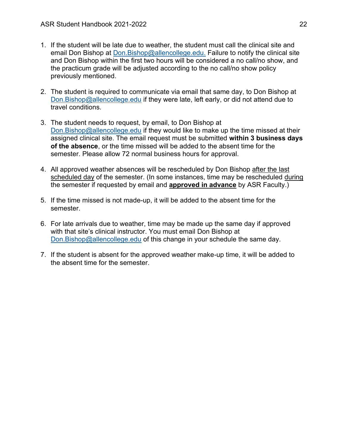- 1. If the student will be late due to weather, the student must call the clinical site and email Don Bishop at [Don.Bishop@allencollege.edu.](mailto:Don.Bishop@allencollege.edu) Failure to notify the clinical site and Don Bishop within the first two hours will be considered a no call/no show, and the practicum grade will be adjusted according to the no call/no show policy previously mentioned.
- 2. The student is required to communicate via email that same day, to Don Bishop at [Don.Bishop@allencollege.edu](mailto:Don.Bishop@allencollege.edu) if they were late, left early, or did not attend due to travel conditions.
- 3. The student needs to request, by email, to Don Bishop at [Don.Bishop@allencollege.edu](mailto:Don.Bishop@allencollege.edu) if they would like to make up the time missed at their assigned clinical site. The email request must be submitted **within 3 business days of the absence**, or the time missed will be added to the absent time for the semester. Please allow 72 normal business hours for approval.
- 4. All approved weather absences will be rescheduled by Don Bishop after the last scheduled day of the semester. (In some instances, time may be rescheduled during the semester if requested by email and **approved in advance** by ASR Faculty.)
- 5. If the time missed is not made-up, it will be added to the absent time for the semester.
- 6. For late arrivals due to weather, time may be made up the same day if approved with that site's clinical instructor. You must email Don Bishop at [Don.Bishop@allencollege.edu](mailto:Don.Bishop@allencollege.edu) of this change in your schedule the same day.
- 7. If the student is absent for the approved weather make-up time, it will be added to the absent time for the semester.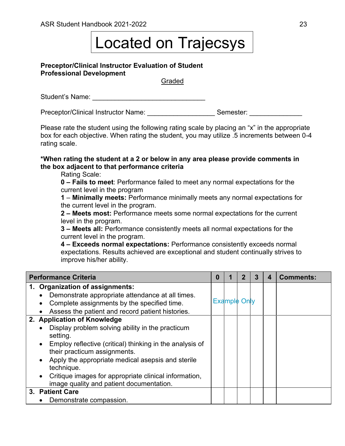# Located on Trajecsys

#### <span id="page-22-0"></span>**Preceptor/Clinical Instructor Evaluation of Student Professional Development**

Graded

Student's Name: \_\_\_\_\_\_\_\_\_\_\_\_\_\_\_\_\_\_\_\_\_\_\_\_\_\_\_\_\_\_

Preceptor/Clinical Instructor Name: \_\_\_\_\_\_\_\_\_\_\_\_\_\_\_\_\_\_\_\_\_\_Semester: \_\_\_\_\_\_\_\_\_\_\_\_

Please rate the student using the following rating scale by placing an "x" in the appropriate box for each objective. When rating the student, you may utilize .5 increments between 0-4 rating scale.

#### **\*When rating the student at a 2 or below in any area please provide comments in the box adjacent to that performance criteria**

Rating Scale:

**0 – Fails to meet**: Performance failed to meet any normal expectations for the current level in the program

**1** – **Minimally meets:** Performance minimally meets any normal expectations for the current level in the program.

**2 – Meets most:** Performance meets some normal expectations for the current level in the program.

**3 – Meets all:** Performance consistently meets all normal expectations for the current level in the program.

**4 – Exceeds normal expectations:** Performance consistently exceeds normal expectations. Results achieved are exceptional and student continually strives to improve his/her ability.

| <b>Performance Criteria</b>                                                                                    | 0 |                     | 3 | 4 | <b>Comments:</b> |
|----------------------------------------------------------------------------------------------------------------|---|---------------------|---|---|------------------|
| 1. Organization of assignments:                                                                                |   |                     |   |   |                  |
| Demonstrate appropriate attendance at all times.<br>$\bullet$                                                  |   |                     |   |   |                  |
| Complete assignments by the specified time.<br>$\bullet$                                                       |   | <b>Example Only</b> |   |   |                  |
| Assess the patient and record patient histories.<br>$\bullet$                                                  |   |                     |   |   |                  |
| 2. Application of Knowledge                                                                                    |   |                     |   |   |                  |
| Display problem solving ability in the practicum<br>$\bullet$<br>setting.                                      |   |                     |   |   |                  |
| Employ reflective (critical) thinking in the analysis of<br>$\bullet$<br>their practicum assignments.          |   |                     |   |   |                  |
| Apply the appropriate medical asepsis and sterile<br>$\bullet$<br>technique.                                   |   |                     |   |   |                  |
| Critique images for appropriate clinical information,<br>$\bullet$<br>image quality and patient documentation. |   |                     |   |   |                  |
| 3. Patient Care                                                                                                |   |                     |   |   |                  |
| Demonstrate compassion.                                                                                        |   |                     |   |   |                  |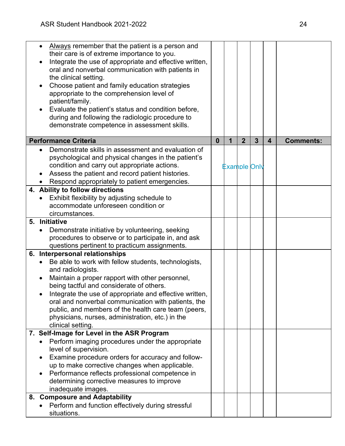| Always remember that the patient is a person and<br>$\bullet$<br>their care is of extreme importance to you.<br>Integrate the use of appropriate and effective written,<br>$\bullet$<br>oral and nonverbal communication with patients in<br>the clinical setting.<br>Choose patient and family education strategies<br>$\bullet$<br>appropriate to the comprehension level of<br>patient/family. |          |   |                     |                |                         |                  |
|---------------------------------------------------------------------------------------------------------------------------------------------------------------------------------------------------------------------------------------------------------------------------------------------------------------------------------------------------------------------------------------------------|----------|---|---------------------|----------------|-------------------------|------------------|
| Evaluate the patient's status and condition before,<br>$\bullet$<br>during and following the radiologic procedure to<br>demonstrate competence in assessment skills.                                                                                                                                                                                                                              |          |   |                     |                |                         |                  |
| <b>Performance Criteria</b>                                                                                                                                                                                                                                                                                                                                                                       | $\bf{0}$ | 1 | $\overline{2}$      | $\overline{3}$ | $\overline{\mathbf{4}}$ | <b>Comments:</b> |
| Demonstrate skills in assessment and evaluation of<br>psychological and physical changes in the patient's<br>condition and carry out appropriate actions.<br>Assess the patient and record patient histories.<br>Respond appropriately to patient emergencies.                                                                                                                                    |          |   | <b>Example Only</b> |                |                         |                  |
| 4. Ability to follow directions<br>Exhibit flexibility by adjusting schedule to<br>accommodate unforeseen condition or<br>circumstances.                                                                                                                                                                                                                                                          |          |   |                     |                |                         |                  |
| 5. Initiative                                                                                                                                                                                                                                                                                                                                                                                     |          |   |                     |                |                         |                  |
| Demonstrate initiative by volunteering, seeking<br>procedures to observe or to participate in, and ask<br>questions pertinent to practicum assignments.                                                                                                                                                                                                                                           |          |   |                     |                |                         |                  |
| 6. Interpersonal relationships                                                                                                                                                                                                                                                                                                                                                                    |          |   |                     |                |                         |                  |
| Be able to work with fellow students, technologists,                                                                                                                                                                                                                                                                                                                                              |          |   |                     |                |                         |                  |
| and radiologists.<br>Maintain a proper rapport with other personnel,<br>$\bullet$<br>being tactful and considerate of others.                                                                                                                                                                                                                                                                     |          |   |                     |                |                         |                  |
| Integrate the use of appropriate and effective written,<br>oral and nonverbal communication with patients, the<br>public, and members of the health care team (peers,<br>physicians, nurses, administration, etc.) in the<br>clinical setting.                                                                                                                                                    |          |   |                     |                |                         |                  |
| 7. Self-Image for Level in the ASR Program                                                                                                                                                                                                                                                                                                                                                        |          |   |                     |                |                         |                  |
| Perform imaging procedures under the appropriate<br>level of supervision.<br>Examine procedure orders for accuracy and follow-<br>up to make corrective changes when applicable.<br>Performance reflects professional competence in<br>$\bullet$<br>determining corrective measures to improve<br>inadequate images.                                                                              |          |   |                     |                |                         |                  |
| 8. Composure and Adaptability                                                                                                                                                                                                                                                                                                                                                                     |          |   |                     |                |                         |                  |
| Perform and function effectively during stressful<br>situations.                                                                                                                                                                                                                                                                                                                                  |          |   |                     |                |                         |                  |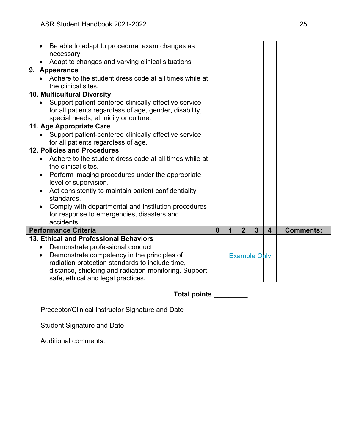| Be able to adapt to procedural exam changes as                |              |             |                |                     |                         |                  |
|---------------------------------------------------------------|--------------|-------------|----------------|---------------------|-------------------------|------------------|
| necessary                                                     |              |             |                |                     |                         |                  |
| Adapt to changes and varying clinical situations              |              |             |                |                     |                         |                  |
| 9. Appearance                                                 |              |             |                |                     |                         |                  |
| Adhere to the student dress code at all times while at        |              |             |                |                     |                         |                  |
| the clinical sites.                                           |              |             |                |                     |                         |                  |
| 10. Multicultural Diversity                                   |              |             |                |                     |                         |                  |
| Support patient-centered clinically effective service         |              |             |                |                     |                         |                  |
| for all patients regardless of age, gender, disability,       |              |             |                |                     |                         |                  |
| special needs, ethnicity or culture.                          |              |             |                |                     |                         |                  |
| 11. Age Appropriate Care                                      |              |             |                |                     |                         |                  |
| Support patient-centered clinically effective service         |              |             |                |                     |                         |                  |
| for all patients regardless of age.                           |              |             |                |                     |                         |                  |
| 12. Policies and Procedures                                   |              |             |                |                     |                         |                  |
| Adhere to the student dress code at all times while at        |              |             |                |                     |                         |                  |
| the clinical sites.                                           |              |             |                |                     |                         |                  |
| Perform imaging procedures under the appropriate<br>$\bullet$ |              |             |                |                     |                         |                  |
| level of supervision.                                         |              |             |                |                     |                         |                  |
| Act consistently to maintain patient confidentiality          |              |             |                |                     |                         |                  |
| standards.                                                    |              |             |                |                     |                         |                  |
| Comply with departmental and institution procedures           |              |             |                |                     |                         |                  |
| for response to emergencies, disasters and                    |              |             |                |                     |                         |                  |
| accidents.                                                    |              |             |                |                     |                         |                  |
| <b>Performance Criteria</b>                                   | $\mathbf{0}$ | $\mathbf 1$ | $\overline{2}$ | $\overline{3}$      | $\overline{\mathbf{4}}$ | <b>Comments:</b> |
| 13. Ethical and Professional Behaviors                        |              |             |                |                     |                         |                  |
| Demonstrate professional conduct.<br>$\bullet$                |              |             |                |                     |                         |                  |
| Demonstrate competency in the principles of                   |              |             |                | <b>Example Only</b> |                         |                  |
| radiation protection standards to include time,               |              |             |                |                     |                         |                  |
| distance, shielding and radiation monitoring. Support         |              |             |                |                     |                         |                  |
| safe, ethical and legal practices.                            |              |             |                |                     |                         |                  |

# **Total points** \_\_\_\_\_\_\_\_\_

Preceptor/Clinical Instructor Signature and Date\_\_\_\_\_\_\_\_\_\_\_\_\_\_\_\_\_\_\_\_\_\_\_\_\_\_\_\_\_\_\_\_

Student Signature and Date\_\_\_\_\_\_\_\_\_\_\_\_\_\_\_\_\_\_\_\_\_\_\_\_\_\_\_\_\_\_\_\_\_\_\_\_

Additional comments: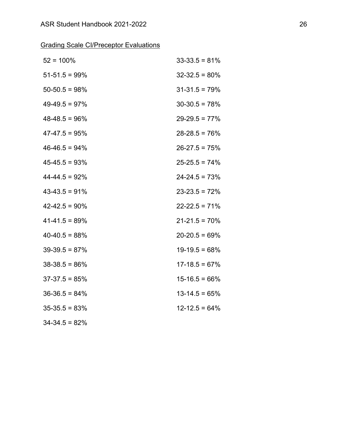|  | <b>Grading Scale CI/Preceptor Evaluations</b> |  |  |
|--|-----------------------------------------------|--|--|
|  |                                               |  |  |

| $52 = 100\%$       | $33 - 33.5 = 81\%$ |
|--------------------|--------------------|
| $51-51.5 = 99\%$   | $32 - 32.5 = 80\%$ |
| $50 - 50.5 = 98\%$ | $31 - 31.5 = 79\%$ |
| $49-49.5 = 97%$    | $30-30.5 = 78%$    |
| $48-48.5 = 96%$    | $29 - 29.5 = 77\%$ |
| $47-47.5 = 95%$    | $28 - 28.5 = 76\%$ |
| $46-46.5 = 94%$    | $26 - 27.5 = 75%$  |
| $45 - 45.5 = 93%$  | $25 - 25.5 = 74\%$ |
| $44 - 44.5 = 92%$  | $24 - 24.5 = 73%$  |
| $43-43.5 = 91%$    | $23 - 23.5 = 72%$  |
| $42 - 42.5 = 90\%$ | $22 - 22.5 = 71\%$ |
| $41 - 41.5 = 89%$  | $21 - 21.5 = 70\%$ |
| $40-40.5 = 88%$    | $20 - 20.5 = 69\%$ |
| $39-39.5 = 87%$    | $19-19.5 = 68%$    |
| $38-38.5 = 86\%$   | $17 - 18.5 = 67\%$ |
| $37-37.5 = 85%$    | $15 - 16.5 = 66\%$ |
| $36-36.5 = 84\%$   | $13 - 14.5 = 65%$  |
| $35-35.5 = 83%$    | $12 - 12.5 = 64\%$ |
| $34 - 34.5 = 82%$  |                    |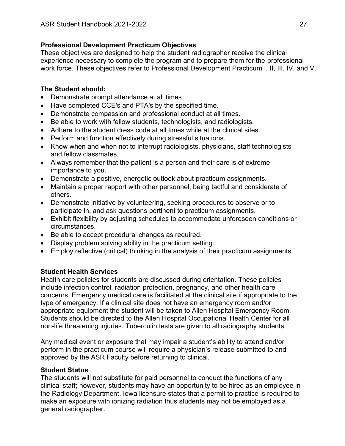# <span id="page-26-0"></span>**Professional Development Practicum Objectives**

These objectives are designed to help the student radiographer receive the clinical experience necessary to complete the program and to prepare them for the professional work force. These objectives refer to Professional Development Practicum I, II, III, IV, and V.

# <span id="page-26-1"></span>**The Student should:**

- Demonstrate prompt attendance at all times.
- Have completed CCE's and PTA's by the specified time.
- Demonstrate compassion and professional conduct at all times.
- Be able to work with fellow students, technologists, and radiologists.
- Adhere to the student dress code at all times while at the clinical sites.
- Perform and function effectively during stressful situations.
- Know when and when not to interrupt radiologists, physicians, staff technologists and fellow classmates.
- Always remember that the patient is a person and their care is of extreme importance to you.
- Demonstrate a positive, energetic outlook about practicum assignments.
- Maintain a proper rapport with other personnel, being tactful and considerate of others.
- Demonstrate initiative by volunteering, seeking procedures to observe or to participate in, and ask questions pertinent to practicum assignments.
- Exhibit flexibility by adjusting schedules to accommodate unforeseen conditions or circumstances.
- Be able to accept procedural changes as required.
- Display problem solving ability in the practicum setting.
- Employ reflective (critical) thinking in the analysis of their practicum assignments.

# <span id="page-26-2"></span>**Student Health Services**

Health care policies for students are discussed during orientation. These policies include infection control, radiation protection, pregnancy, and other health care concerns. Emergency medical care is facilitated at the clinical site if appropriate to the type of emergency. If a clinical site does not have an emergency room and/or appropriate equipment the student will be taken to Allen Hospital Emergency Room. Students should be directed to the Allen Hospital Occupational Health Center for all non-life threatening injuries. Tuberculin tests are given to all radiography students.

Any medical event or exposure that may impair a student's ability to attend and/or perform in the practicum course will require a physician's release submitted to and approved by the ASR Faculty before returning to clinical.

# <span id="page-26-3"></span>**Student Status**

The students will not substitute for paid personnel to conduct the functions of any clinical staff; however, students may have an opportunity to be hired as an employee in the Radiology Department. Iowa licensure states that a permit to practice is required to make an exposure with ionizing radiation thus students may not be employed as a general radiographer.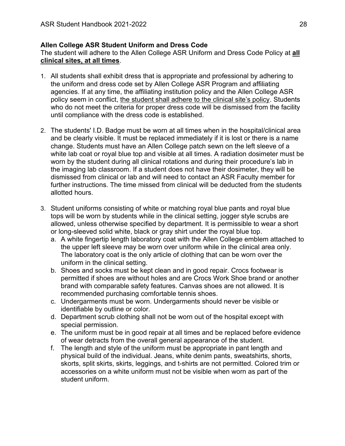# <span id="page-27-0"></span>**Allen College ASR Student Uniform and Dress Code**

The student will adhere to the Allen College ASR Uniform and Dress Code Policy at **all clinical sites, at all times**.

- 1. All students shall exhibit dress that is appropriate and professional by adhering to the uniform and dress code set by Allen College ASR Program and affiliating agencies. If at any time, the affiliating institution policy and the Allen College ASR policy seem in conflict, the student shall adhere to the clinical site's policy. Students who do not meet the criteria for proper dress code will be dismissed from the facility until compliance with the dress code is established.
- 2. The students' I.D. Badge must be worn at all times when in the hospital/clinical area and be clearly visible. It must be replaced immediately if it is lost or there is a name change. Students must have an Allen College patch sewn on the left sleeve of a white lab coat or royal blue top and visible at all times. A radiation dosimeter must be worn by the student during all clinical rotations and during their procedure's lab in the imaging lab classroom. If a student does not have their dosimeter, they will be dismissed from clinical or lab and will need to contact an ASR Faculty member for further instructions. The time missed from clinical will be deducted from the students allotted hours.
- 3. Student uniforms consisting of white or matching royal blue pants and royal blue tops will be worn by students while in the clinical setting, jogger style scrubs are allowed, unless otherwise specified by department. It is permissible to wear a short or long-sleeved solid white, black or gray shirt under the royal blue top.
	- a. A white fingertip length laboratory coat with the Allen College emblem attached to the upper left sleeve may be worn over uniform while in the clinical area only. The laboratory coat is the only article of clothing that can be worn over the uniform in the clinical setting.
	- b. Shoes and socks must be kept clean and in good repair. Crocs footwear is permitted if shoes are without holes and are Crocs Work Shoe brand or another brand with comparable safety features. Canvas shoes are not allowed. It is recommended purchasing comfortable tennis shoes.
	- c. Undergarments must be worn. Undergarments should never be visible or identifiable by outline or color.
	- d. Department scrub clothing shall not be worn out of the hospital except with special permission.
	- e. The uniform must be in good repair at all times and be replaced before evidence of wear detracts from the overall general appearance of the student.
	- f. The length and style of the uniform must be appropriate in pant length and physical build of the individual. Jeans, white denim pants, sweatshirts, shorts, skorts, split skirts, skirts, leggings, and t-shirts are not permitted. Colored trim or accessories on a white uniform must not be visible when worn as part of the student uniform.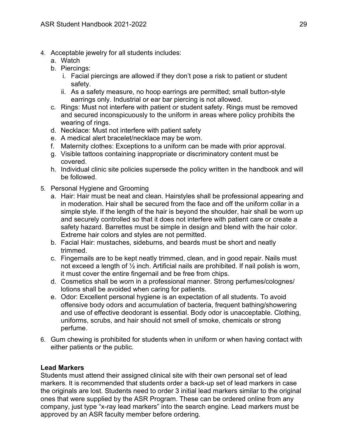- 4. Acceptable jewelry for all students includes:
	- a. Watch
	- b. Piercings:
		- i. Facial piercings are allowed if they don't pose a risk to patient or student safety.
		- ii. As a safety measure, no hoop earrings are permitted; small button-style earrings only. Industrial or ear bar piercing is not allowed.
	- c. Rings: Must not interfere with patient or student safety. Rings must be removed and secured inconspicuously to the uniform in areas where policy prohibits the wearing of rings.
	- d. Necklace: Must not interfere with patient safety
	- e. A medical alert bracelet/necklace may be worn.
	- f. Maternity clothes: Exceptions to a uniform can be made with prior approval.
	- g. Visible tattoos containing inappropriate or discriminatory content must be covered.
	- h. Individual clinic site policies supersede the policy written in the handbook and will be followed.
- 5. Personal Hygiene and Grooming
	- a. Hair: Hair must be neat and clean. Hairstyles shall be professional appearing and in moderation. Hair shall be secured from the face and off the uniform collar in a simple style. If the length of the hair is beyond the shoulder, hair shall be worn up and securely controlled so that it does not interfere with patient care or create a safety hazard. Barrettes must be simple in design and blend with the hair color. Extreme hair colors and styles are not permitted.
	- b. Facial Hair: mustaches, sideburns, and beards must be short and neatly trimmed.
	- c. Fingernails are to be kept neatly trimmed, clean, and in good repair. Nails must not exceed a length of  $\frac{1}{2}$  inch. Artificial nails are prohibited. If nail polish is worn, it must cover the entire fingernail and be free from chips.
	- d. Cosmetics shall be worn in a professional manner. Strong perfumes/colognes/ lotions shall be avoided when caring for patients.
	- e. Odor: Excellent personal hygiene is an expectation of all students. To avoid offensive body odors and accumulation of bacteria, frequent bathing/showering and use of effective deodorant is essential. Body odor is unacceptable. Clothing, uniforms, scrubs, and hair should not smell of smoke, chemicals or strong perfume.
- 6. Gum chewing is prohibited for students when in uniform or when having contact with either patients or the public.

# <span id="page-28-0"></span>**Lead Markers**

Students must attend their assigned clinical site with their own personal set of lead markers. It is recommended that students order a back-up set of lead markers in case the originals are lost. Students need to order 3 initial lead markers similar to the original ones that were supplied by the ASR Program. These can be ordered online from any company, just type "x-ray lead markers" into the search engine. Lead markers must be approved by an ASR faculty member before ordering.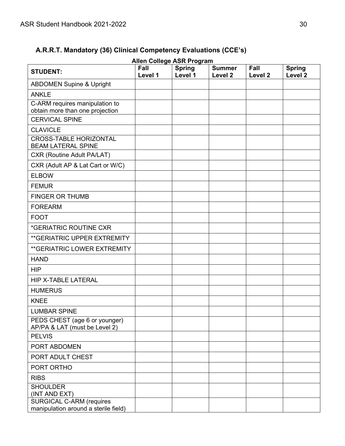# <span id="page-29-0"></span>**A.R.R.T. Mandatory (36) Clinical Competency Evaluations (CCE's)**

| <b>Allen College ASR Program</b>                                        |                 |                          |                                     |                 |                                     |  |  |  |
|-------------------------------------------------------------------------|-----------------|--------------------------|-------------------------------------|-----------------|-------------------------------------|--|--|--|
| <b>STUDENT:</b>                                                         | Fall<br>Level 1 | <b>Spring</b><br>Level 1 | <b>Summer</b><br>Level <sub>2</sub> | Fall<br>Level 2 | <b>Spring</b><br>Level <sub>2</sub> |  |  |  |
| <b>ABDOMEN Supine &amp; Upright</b>                                     |                 |                          |                                     |                 |                                     |  |  |  |
| <b>ANKLE</b>                                                            |                 |                          |                                     |                 |                                     |  |  |  |
| C-ARM requires manipulation to<br>obtain more than one projection       |                 |                          |                                     |                 |                                     |  |  |  |
| <b>CERVICAL SPINE</b>                                                   |                 |                          |                                     |                 |                                     |  |  |  |
| <b>CLAVICLE</b>                                                         |                 |                          |                                     |                 |                                     |  |  |  |
| <b>CROSS-TABLE HORIZONTAL</b><br><b>BEAM LATERAL SPINE</b>              |                 |                          |                                     |                 |                                     |  |  |  |
| <b>CXR (Routine Adult PA/LAT)</b>                                       |                 |                          |                                     |                 |                                     |  |  |  |
| CXR (Adult AP & Lat Cart or W/C)                                        |                 |                          |                                     |                 |                                     |  |  |  |
| <b>ELBOW</b>                                                            |                 |                          |                                     |                 |                                     |  |  |  |
| <b>FEMUR</b>                                                            |                 |                          |                                     |                 |                                     |  |  |  |
| <b>FINGER OR THUMB</b>                                                  |                 |                          |                                     |                 |                                     |  |  |  |
| <b>FOREARM</b>                                                          |                 |                          |                                     |                 |                                     |  |  |  |
| <b>FOOT</b>                                                             |                 |                          |                                     |                 |                                     |  |  |  |
| *GERIATRIC ROUTINE CXR                                                  |                 |                          |                                     |                 |                                     |  |  |  |
| <b>**GERIATRIC UPPER EXTREMITY</b>                                      |                 |                          |                                     |                 |                                     |  |  |  |
| <b>**GERIATRIC LOWER EXTREMITY</b>                                      |                 |                          |                                     |                 |                                     |  |  |  |
| <b>HAND</b>                                                             |                 |                          |                                     |                 |                                     |  |  |  |
| <b>HIP</b>                                                              |                 |                          |                                     |                 |                                     |  |  |  |
| <b>HIP X-TABLE LATERAL</b>                                              |                 |                          |                                     |                 |                                     |  |  |  |
| <b>HUMERUS</b>                                                          |                 |                          |                                     |                 |                                     |  |  |  |
| <b>KNEE</b>                                                             |                 |                          |                                     |                 |                                     |  |  |  |
| <b>LUMBAR SPINE</b>                                                     |                 |                          |                                     |                 |                                     |  |  |  |
| PEDS CHEST (age 6 or younger)<br>AP/PA & LAT (must be Level 2)          |                 |                          |                                     |                 |                                     |  |  |  |
| <b>PELVIS</b>                                                           |                 |                          |                                     |                 |                                     |  |  |  |
| PORT ABDOMEN                                                            |                 |                          |                                     |                 |                                     |  |  |  |
| PORT ADULT CHEST                                                        |                 |                          |                                     |                 |                                     |  |  |  |
| PORT ORTHO                                                              |                 |                          |                                     |                 |                                     |  |  |  |
| <b>RIBS</b>                                                             |                 |                          |                                     |                 |                                     |  |  |  |
| <b>SHOULDER</b><br>(INT AND EXT)                                        |                 |                          |                                     |                 |                                     |  |  |  |
| <b>SURGICAL C-ARM (requires</b><br>manipulation around a sterile field) |                 |                          |                                     |                 |                                     |  |  |  |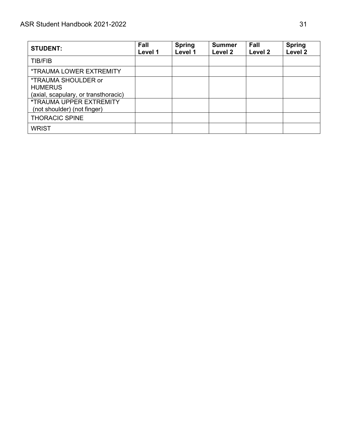| <b>STUDENT:</b>                                                                             | Fall<br>Level 1 | <b>Spring</b><br>Level 1 | <b>Summer</b><br>Level 2 | Fall<br>Level 2 | <b>Spring</b><br>Level <sub>2</sub> |
|---------------------------------------------------------------------------------------------|-----------------|--------------------------|--------------------------|-----------------|-------------------------------------|
| TIB/FIB                                                                                     |                 |                          |                          |                 |                                     |
| <i><b>*TRAUMA LOWER EXTREMITY</b></i>                                                       |                 |                          |                          |                 |                                     |
| <i><b>*TRAUMA SHOULDER or</b></i><br><b>HUMERUS</b><br>(axial, scapulary, or transthoracic) |                 |                          |                          |                 |                                     |
| <b>*TRAUMA UPPER EXTREMITY</b><br>(not shoulder) (not finger)                               |                 |                          |                          |                 |                                     |
| <b>THORACIC SPINE</b>                                                                       |                 |                          |                          |                 |                                     |
| <b>WRIST</b>                                                                                |                 |                          |                          |                 |                                     |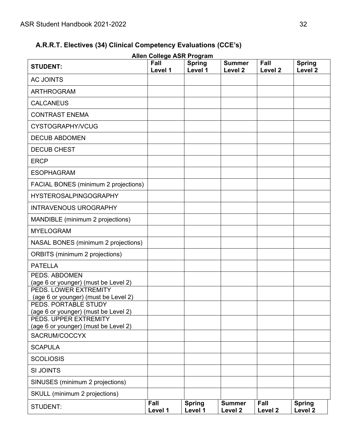# **A.R.R.T. Electives (34) Clinical Competency Evaluations (CCE's)**

<span id="page-31-0"></span>

|                                                               |                 | <b>Allen College ASR Program</b> |                                     |                 |                                     |
|---------------------------------------------------------------|-----------------|----------------------------------|-------------------------------------|-----------------|-------------------------------------|
| <b>STUDENT:</b>                                               | Fall<br>Level 1 | <b>Spring</b><br>Level 1         | <b>Summer</b><br>Level <sub>2</sub> | Fall<br>Level 2 | <b>Spring</b><br>Level <sub>2</sub> |
| <b>AC JOINTS</b>                                              |                 |                                  |                                     |                 |                                     |
| <b>ARTHROGRAM</b>                                             |                 |                                  |                                     |                 |                                     |
| <b>CALCANEUS</b>                                              |                 |                                  |                                     |                 |                                     |
| <b>CONTRAST ENEMA</b>                                         |                 |                                  |                                     |                 |                                     |
| CYSTOGRAPHY/VCUG                                              |                 |                                  |                                     |                 |                                     |
| <b>DECUB ABDOMEN</b>                                          |                 |                                  |                                     |                 |                                     |
| <b>DECUB CHEST</b>                                            |                 |                                  |                                     |                 |                                     |
| <b>ERCP</b>                                                   |                 |                                  |                                     |                 |                                     |
| <b>ESOPHAGRAM</b>                                             |                 |                                  |                                     |                 |                                     |
| FACIAL BONES (minimum 2 projections)                          |                 |                                  |                                     |                 |                                     |
| <b>HYSTEROSALPINGOGRAPHY</b>                                  |                 |                                  |                                     |                 |                                     |
| <b>INTRAVENOUS UROGRAPHY</b>                                  |                 |                                  |                                     |                 |                                     |
| MANDIBLE (minimum 2 projections)                              |                 |                                  |                                     |                 |                                     |
| <b>MYELOGRAM</b>                                              |                 |                                  |                                     |                 |                                     |
| NASAL BONES (minimum 2 projections)                           |                 |                                  |                                     |                 |                                     |
| <b>ORBITS</b> (minimum 2 projections)                         |                 |                                  |                                     |                 |                                     |
| <b>PATELLA</b>                                                |                 |                                  |                                     |                 |                                     |
| PEDS. ABDOMEN<br>(age 6 or younger) (must be Level 2)         |                 |                                  |                                     |                 |                                     |
| PEDS. LOWER EXTREMITY                                         |                 |                                  |                                     |                 |                                     |
| (age 6 or younger) (must be Level 2)<br>PEDS. PORTABLE STUDY  |                 |                                  |                                     |                 |                                     |
| (age 6 or younger) (must be Level 2)                          |                 |                                  |                                     |                 |                                     |
| PEDS. UPPER EXTREMITY<br>(age 6 or younger) (must be Level 2) |                 |                                  |                                     |                 |                                     |
| SACRUM/COCCYX                                                 |                 |                                  |                                     |                 |                                     |
| <b>SCAPULA</b>                                                |                 |                                  |                                     |                 |                                     |
| <b>SCOLIOSIS</b>                                              |                 |                                  |                                     |                 |                                     |
| <b>SI JOINTS</b>                                              |                 |                                  |                                     |                 |                                     |
| SINUSES (minimum 2 projections)                               |                 |                                  |                                     |                 |                                     |
| SKULL (minimum 2 projections)                                 |                 |                                  |                                     |                 |                                     |
| <b>STUDENT:</b>                                               | Fall<br>Level 1 | <b>Spring</b><br>Level 1         | <b>Summer</b><br>Level 2            | Fall<br>Level 2 | <b>Spring</b><br>Level <sub>2</sub> |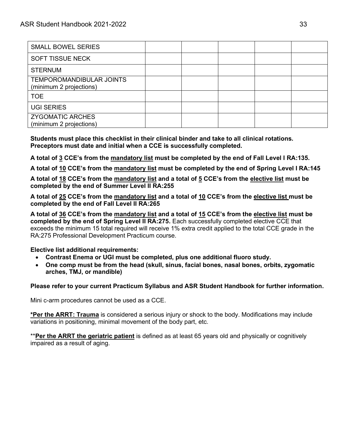| <b>SMALL BOWEL SERIES</b>                           |  |  |  |
|-----------------------------------------------------|--|--|--|
| <b>SOFT TISSUE NECK</b>                             |  |  |  |
| <b>STERNUM</b>                                      |  |  |  |
| TEMPOROMANDIBULAR JOINTS<br>(minimum 2 projections) |  |  |  |
| <b>TOE</b>                                          |  |  |  |
| <b>UGI SERIES</b>                                   |  |  |  |
| <b>ZYGOMATIC ARCHES</b><br>(minimum 2 projections)  |  |  |  |

**Students must place this checklist in their clinical binder and take to all clinical rotations. Preceptors must date and initial when a CCE is successfully completed.**

**A total of 3 CCE's from the mandatory list must be completed by the end of Fall Level I RA:135.**

**A total of 10 CCE's from the mandatory list must be completed by the end of Spring Level I RA:145**

**A total of 18 CCE's from the mandatory list and a total of 5 CCE's from the elective list must be completed by the end of Summer Level II RA:255**

**A total of 25 CCE's from the mandatory list and a total of 10 CCE's from the elective list must be completed by the end of Fall Level II RA:265**

**A total of 36 CCE's from the mandatory list and a total of 15 CCE's from the elective list must be completed by the end of Spring Level II RA:275.** Each successfully completed elective CCE that exceeds the minimum 15 total required will receive 1% extra credit applied to the total CCE grade in the RA:275 Professional Development Practicum course.

**Elective list additional requirements:**

- **Contrast Enema or UGI must be completed, plus one additional fluoro study.**
- **One comp must be from the head (skull, sinus, facial bones, nasal bones, orbits, zygomatic arches, TMJ, or mandible)**

**Please refer to your current Practicum Syllabus and ASR Student Handbook for further information.**

Mini c-arm procedures cannot be used as a CCE.

**\*Per the ARRT: Trauma** is considered a serious injury or shock to the body. Modifications may include variations in positioning, minimal movement of the body part, etc.

\*\***Per the ARRT the geriatric patient** is defined as at least 65 years old and physically or cognitively impaired as a result of aging.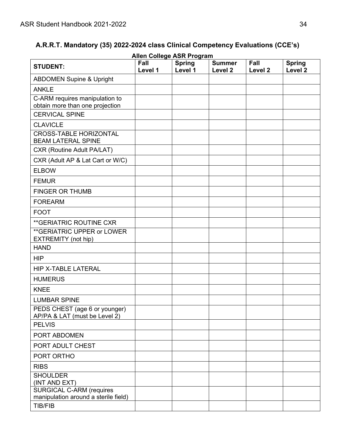# <span id="page-33-0"></span>**A.R.R.T. Mandatory (35) 2022-2024 class Clinical Competency Evaluations (CCE's)**

|                                                                         |                 | <b>Allen College ASR Program</b> |                          |                            |                                     |
|-------------------------------------------------------------------------|-----------------|----------------------------------|--------------------------|----------------------------|-------------------------------------|
| <b>STUDENT:</b>                                                         | Fall<br>Level 1 | <b>Spring</b><br>Level 1         | <b>Summer</b><br>Level 2 | Fall<br>Level <sub>2</sub> | <b>Spring</b><br>Level <sub>2</sub> |
| <b>ABDOMEN Supine &amp; Upright</b>                                     |                 |                                  |                          |                            |                                     |
| <b>ANKLE</b>                                                            |                 |                                  |                          |                            |                                     |
| C-ARM requires manipulation to<br>obtain more than one projection       |                 |                                  |                          |                            |                                     |
| <b>CERVICAL SPINE</b>                                                   |                 |                                  |                          |                            |                                     |
| <b>CLAVICLE</b>                                                         |                 |                                  |                          |                            |                                     |
| <b>CROSS-TABLE HORIZONTAL</b><br><b>BEAM LATERAL SPINE</b>              |                 |                                  |                          |                            |                                     |
| <b>CXR (Routine Adult PA/LAT)</b>                                       |                 |                                  |                          |                            |                                     |
| CXR (Adult AP & Lat Cart or W/C)                                        |                 |                                  |                          |                            |                                     |
| <b>ELBOW</b>                                                            |                 |                                  |                          |                            |                                     |
| <b>FEMUR</b>                                                            |                 |                                  |                          |                            |                                     |
| <b>FINGER OR THUMB</b>                                                  |                 |                                  |                          |                            |                                     |
| <b>FOREARM</b>                                                          |                 |                                  |                          |                            |                                     |
| <b>FOOT</b>                                                             |                 |                                  |                          |                            |                                     |
| **GERIATRIC ROUTINE CXR                                                 |                 |                                  |                          |                            |                                     |
| ** GERIATRIC UPPER or LOWER<br>EXTREMITY (not hip)                      |                 |                                  |                          |                            |                                     |
| <b>HAND</b>                                                             |                 |                                  |                          |                            |                                     |
| <b>HIP</b>                                                              |                 |                                  |                          |                            |                                     |
| <b>HIP X-TABLE LATERAL</b>                                              |                 |                                  |                          |                            |                                     |
| <b>HUMERUS</b>                                                          |                 |                                  |                          |                            |                                     |
| <b>KNEE</b>                                                             |                 |                                  |                          |                            |                                     |
| <b>LUMBAR SPINE</b>                                                     |                 |                                  |                          |                            |                                     |
| PEDS CHEST (age 6 or younger)<br>AP/PA & LAT (must be Level 2)          |                 |                                  |                          |                            |                                     |
| <b>PELVIS</b>                                                           |                 |                                  |                          |                            |                                     |
| PORT ABDOMEN                                                            |                 |                                  |                          |                            |                                     |
| PORT ADULT CHEST                                                        |                 |                                  |                          |                            |                                     |
| PORT ORTHO                                                              |                 |                                  |                          |                            |                                     |
| <b>RIBS</b>                                                             |                 |                                  |                          |                            |                                     |
| <b>SHOULDER</b><br>(INT AND EXT)                                        |                 |                                  |                          |                            |                                     |
| <b>SURGICAL C-ARM (requires</b><br>manipulation around a sterile field) |                 |                                  |                          |                            |                                     |
| <b>TIB/FIB</b>                                                          |                 |                                  |                          |                            |                                     |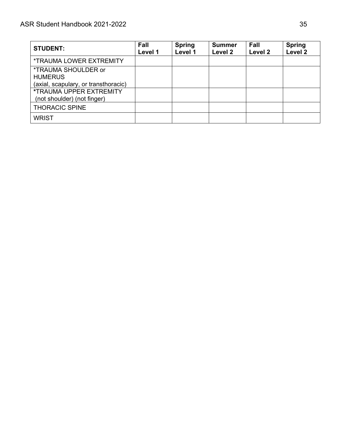| <b>STUDENT:</b>                                                        | <b>Fall</b><br>Level 1 | <b>Spring</b><br>Level 1 | <b>Summer</b><br>Level 2 | Fall<br>Level 2 | <b>Spring</b><br>Level <sub>2</sub> |
|------------------------------------------------------------------------|------------------------|--------------------------|--------------------------|-----------------|-------------------------------------|
| <b>*TRAUMA LOWER EXTREMITY</b>                                         |                        |                          |                          |                 |                                     |
| *TRAUMA SHOULDER or<br><b>HUMERUS</b>                                  |                        |                          |                          |                 |                                     |
| (axial, scapulary, or transthoracic)<br><b>*TRAUMA UPPER EXTREMITY</b> |                        |                          |                          |                 |                                     |
| (not shoulder) (not finger)                                            |                        |                          |                          |                 |                                     |
| <b>THORACIC SPINE</b>                                                  |                        |                          |                          |                 |                                     |
| <b>WRIST</b>                                                           |                        |                          |                          |                 |                                     |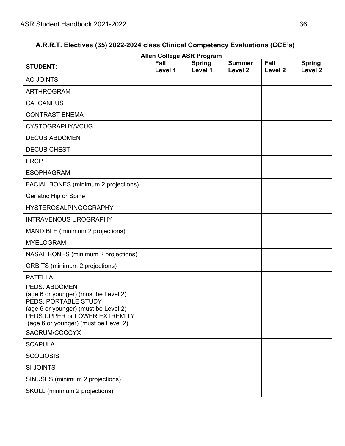# **A.R.R.T. Electives (35) 2022-2024 class Clinical Competency Evaluations (CCE's)**

<span id="page-35-0"></span>

|                                                                       |                 | <b>Allen College ASR Program</b> |                                     |                            |                                     |
|-----------------------------------------------------------------------|-----------------|----------------------------------|-------------------------------------|----------------------------|-------------------------------------|
| <b>STUDENT:</b>                                                       | Fall<br>Level 1 | <b>Spring</b><br>Level 1         | <b>Summer</b><br>Level <sub>2</sub> | Fall<br>Level <sub>2</sub> | <b>Spring</b><br>Level <sub>2</sub> |
| <b>AC JOINTS</b>                                                      |                 |                                  |                                     |                            |                                     |
| <b>ARTHROGRAM</b>                                                     |                 |                                  |                                     |                            |                                     |
| <b>CALCANEUS</b>                                                      |                 |                                  |                                     |                            |                                     |
| <b>CONTRAST ENEMA</b>                                                 |                 |                                  |                                     |                            |                                     |
| CYSTOGRAPHY/VCUG                                                      |                 |                                  |                                     |                            |                                     |
| <b>DECUB ABDOMEN</b>                                                  |                 |                                  |                                     |                            |                                     |
| <b>DECUB CHEST</b>                                                    |                 |                                  |                                     |                            |                                     |
| <b>ERCP</b>                                                           |                 |                                  |                                     |                            |                                     |
| <b>ESOPHAGRAM</b>                                                     |                 |                                  |                                     |                            |                                     |
| FACIAL BONES (minimum 2 projections)                                  |                 |                                  |                                     |                            |                                     |
| Geriatric Hip or Spine                                                |                 |                                  |                                     |                            |                                     |
| <b>HYSTEROSALPINGOGRAPHY</b>                                          |                 |                                  |                                     |                            |                                     |
| <b>INTRAVENOUS UROGRAPHY</b>                                          |                 |                                  |                                     |                            |                                     |
| MANDIBLE (minimum 2 projections)                                      |                 |                                  |                                     |                            |                                     |
| <b>MYELOGRAM</b>                                                      |                 |                                  |                                     |                            |                                     |
| NASAL BONES (minimum 2 projections)                                   |                 |                                  |                                     |                            |                                     |
| <b>ORBITS</b> (minimum 2 projections)                                 |                 |                                  |                                     |                            |                                     |
| <b>PATELLA</b>                                                        |                 |                                  |                                     |                            |                                     |
| PEDS. ABDOMEN<br>(age 6 or younger) (must be Level 2)                 |                 |                                  |                                     |                            |                                     |
| PEDS. PORTABLE STUDY                                                  |                 |                                  |                                     |                            |                                     |
| (age 6 or younger) (must be Level 2)<br>PEDS.UPPER or LOWER EXTREMITY |                 |                                  |                                     |                            |                                     |
| (age 6 or younger) (must be Level 2)                                  |                 |                                  |                                     |                            |                                     |
| SACRUM/COCCYX                                                         |                 |                                  |                                     |                            |                                     |
| <b>SCAPULA</b>                                                        |                 |                                  |                                     |                            |                                     |
| <b>SCOLIOSIS</b>                                                      |                 |                                  |                                     |                            |                                     |
| <b>SI JOINTS</b>                                                      |                 |                                  |                                     |                            |                                     |
| SINUSES (minimum 2 projections)                                       |                 |                                  |                                     |                            |                                     |
| SKULL (minimum 2 projections)                                         |                 |                                  |                                     |                            |                                     |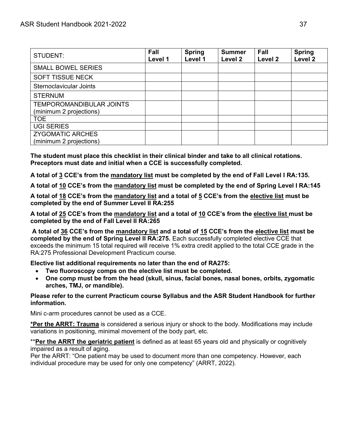| STUDENT:                                                   | <b>Fall</b><br>Level 1 | <b>Spring</b><br>Level 1 | <b>Summer</b><br>Level 2 | Fall<br>Level 2 | <b>Spring</b><br>Level <sub>2</sub> |
|------------------------------------------------------------|------------------------|--------------------------|--------------------------|-----------------|-------------------------------------|
| <b>SMALL BOWEL SERIES</b>                                  |                        |                          |                          |                 |                                     |
| <b>SOFT TISSUE NECK</b>                                    |                        |                          |                          |                 |                                     |
| Sternoclavicular Joints                                    |                        |                          |                          |                 |                                     |
| <b>STERNUM</b>                                             |                        |                          |                          |                 |                                     |
| <b>TEMPOROMANDIBULAR JOINTS</b><br>(minimum 2 projections) |                        |                          |                          |                 |                                     |
| <b>TOE</b>                                                 |                        |                          |                          |                 |                                     |
| <b>UGI SERIES</b>                                          |                        |                          |                          |                 |                                     |
| <b>ZYGOMATIC ARCHES</b><br>(minimum 2 projections)         |                        |                          |                          |                 |                                     |

**The student must place this checklist in their clinical binder and take to all clinical rotations. Preceptors must date and initial when a CCE is successfully completed.**

**A total of 3 CCE's from the mandatory list must be completed by the end of Fall Level I RA:135.**

**A total of 10 CCE's from the mandatory list must be completed by the end of Spring Level I RA:145**

**A total of 18 CCE's from the mandatory list and a total of 5 CCE's from the elective list must be completed by the end of Summer Level II RA:255**

**A total of 25 CCE's from the mandatory list and a total of 10 CCE's from the elective list must be completed by the end of Fall Level II RA:265**

**A total of 36 CCE's from the mandatory list and a total of 15 CCE's from the elective list must be completed by the end of Spring Level II RA:275.** Each successfully completed elective CCE that exceeds the minimum 15 total required will receive 1% extra credit applied to the total CCE grade in the RA:275 Professional Development Practicum course.

**Elective list additional requirements no later than the end of RA275:**

- **Two fluoroscopy comps on the elective list must be completed.**
- **One comp must be from the head (skull, sinus, facial bones, nasal bones, orbits, zygomatic arches, TMJ, or mandible).**

**Please refer to the current Practicum course Syllabus and the ASR Student Handbook for further information.**

Mini c-arm procedures cannot be used as a CCE.

**\*Per the ARRT: Trauma** is considered a serious injury or shock to the body. Modifications may include variations in positioning, minimal movement of the body part, etc.

\*\***Per the ARRT the geriatric patient** is defined as at least 65 years old and physically or cognitively impaired as a result of aging.

Per the ARRT: "One patient may be used to document more than one competency. However, each individual procedure may be used for only one competency" (ARRT, 2022).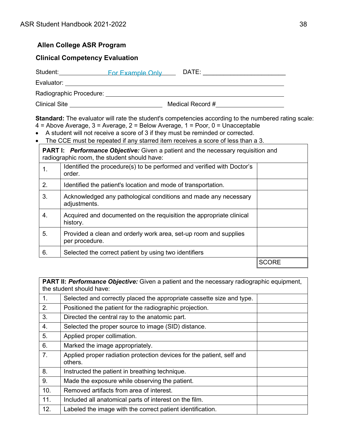# **Allen College ASR Program**

# <span id="page-37-0"></span>**Clinical Competency Evaluation**

| Student:                | <b>For Example Only</b> | DATE:            |  |
|-------------------------|-------------------------|------------------|--|
| Evaluator:              |                         |                  |  |
| Radiographic Procedure: |                         |                  |  |
| <b>Clinical Site</b>    |                         | Medical Record # |  |

**Standard:** The evaluator will rate the student's competencies according to the numbered rating scale: 4 = Above Average, 3 = Average, 2 = Below Average, 1 = Poor, 0 = Unacceptable

- A student will not receive a score of 3 if they must be reminded or corrected.
- The CCE must be repeated if any starred item receives a score of less than a 3.

|    | <b>PART I: Performance Objective:</b> Given a patient and the necessary requisition and<br>radiographic room, the student should have: |              |
|----|----------------------------------------------------------------------------------------------------------------------------------------|--------------|
| 1. | Identified the procedure(s) to be performed and verified with Doctor's<br>order.                                                       |              |
| 2. | Identified the patient's location and mode of transportation.                                                                          |              |
| 3. | Acknowledged any pathological conditions and made any necessary<br>adjustments.                                                        |              |
| 4. | Acquired and documented on the requisition the appropriate clinical<br>history.                                                        |              |
| 5. | Provided a clean and orderly work area, set-up room and supplies<br>per procedure.                                                     |              |
| 6. | Selected the correct patient by using two identifiers                                                                                  |              |
|    |                                                                                                                                        | <b>SCORE</b> |

**PART II:** *Performance Objective:* Given a patient and the necessary radiographic equipment, the student should have:

| 1.  | Selected and correctly placed the appropriate cassette size and type.            |  |
|-----|----------------------------------------------------------------------------------|--|
| 2.  | Positioned the patient for the radiographic projection.                          |  |
| 3.  | Directed the central ray to the anatomic part.                                   |  |
| 4.  | Selected the proper source to image (SID) distance.                              |  |
| 5.  | Applied proper collimation.                                                      |  |
| 6.  | Marked the image appropriately.                                                  |  |
| 7.  | Applied proper radiation protection devices for the patient, self and<br>others. |  |
| 8.  | Instructed the patient in breathing technique.                                   |  |
| 9.  | Made the exposure while observing the patient.                                   |  |
| 10. | Removed artifacts from area of interest.                                         |  |
| 11. | Included all anatomical parts of interest on the film.                           |  |
| 12. | Labeled the image with the correct patient identification.                       |  |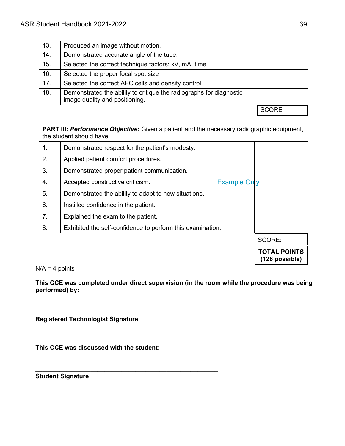| 13. | Produced an image without motion.                                                                     |  |
|-----|-------------------------------------------------------------------------------------------------------|--|
| 14. | Demonstrated accurate angle of the tube.                                                              |  |
| 15. | Selected the correct technique factors: kV, mA, time                                                  |  |
| 16. | Selected the proper focal spot size                                                                   |  |
| 17. | Selected the correct AEC cells and density control                                                    |  |
| 18. | Demonstrated the ability to critique the radiographs for diagnostic<br>image quality and positioning. |  |
|     |                                                                                                       |  |

**PART III:** *Performance Objective***:** Given a patient and the necessary radiographic equipment, the student should have: 1. Demonstrated respect for the patient's modesty. 2. Applied patient comfort procedures. 3. Demonstrated proper patient communication. 4. Accepted constructive criticism. 5. Demonstrated the ability to adapt to new situations.  $6.$  | Instilled confidence in the patient. 7. **Explained the exam to the patient.** 8. | Exhibited the self-confidence to perform this examination. SCORE: Example Only

**TOTAL POINTS (128 possible)**

 $N/A = 4$  points

**This CCE was completed under direct supervision (in the room while the procedure was being performed) by:**

**\_\_\_\_\_\_\_\_\_\_\_\_\_\_\_\_\_\_\_\_\_\_\_\_\_\_\_\_\_\_\_\_\_\_\_\_\_\_\_\_\_\_\_\_ Registered Technologist Signature**

**This CCE was discussed with the student:**

**\_\_\_\_\_\_\_\_\_\_\_\_\_\_\_\_\_\_\_\_\_\_\_\_\_\_\_\_\_\_\_\_\_\_\_\_\_\_\_\_\_\_\_\_\_\_\_\_\_\_\_\_\_ Student Signature**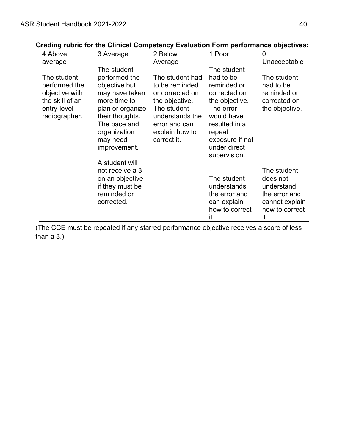|                 | $\frac{1}{2}$ . While it the similar sempetency Examation I chili performance expectively |                 |                 |                |
|-----------------|-------------------------------------------------------------------------------------------|-----------------|-----------------|----------------|
| 4 Above         | 3 Average                                                                                 | 2 Below         | 1 Poor          | 0              |
| average         |                                                                                           | Average         |                 | Unacceptable   |
|                 | The student                                                                               |                 | The student     |                |
| The student     | performed the                                                                             | The student had | had to be       | The student    |
| performed the   | objective but                                                                             | to be reminded  | reminded or     | had to be      |
| objective with  | may have taken                                                                            | or corrected on | corrected on    | reminded or    |
| the skill of an | more time to                                                                              | the objective.  | the objective.  | corrected on   |
| entry-level     | plan or organize                                                                          | The student     | The error       | the objective. |
| radiographer.   | their thoughts.                                                                           | understands the | would have      |                |
|                 | The pace and                                                                              | error and can   | resulted in a   |                |
|                 | organization                                                                              | explain how to  | repeat          |                |
|                 | may need                                                                                  | correct it.     | exposure if not |                |
|                 | improvement.                                                                              |                 | under direct    |                |
|                 |                                                                                           |                 | supervision.    |                |
|                 | A student will                                                                            |                 |                 |                |
|                 | not receive a 3                                                                           |                 |                 | The student    |
|                 | on an objective                                                                           |                 | The student     | does not       |
|                 | if they must be                                                                           |                 | understands     | understand     |
|                 | reminded or                                                                               |                 | the error and   | the error and  |
|                 | corrected.                                                                                |                 | can explain     | cannot explain |
|                 |                                                                                           |                 | how to correct  | how to correct |
|                 |                                                                                           |                 | it.             | it.            |

# <span id="page-39-0"></span>**Grading rubric for the Clinical Competency Evaluation Form performance objectives:**

(The CCE must be repeated if any starred performance objective receives a score of less than a 3.)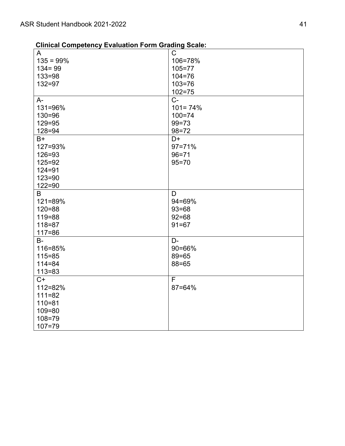| <b>Clinical Competency Evaluation Form Grading Scale:</b> |  |  |  |
|-----------------------------------------------------------|--|--|--|
|-----------------------------------------------------------|--|--|--|

<span id="page-40-0"></span>

| A            | $\mathsf C$ |
|--------------|-------------|
| $135 = 99\%$ | 106=78%     |
| $134 = 99$   | $105 = 77$  |
| $133 = 98$   | $104 = 76$  |
| $132 = 97$   | $103 = 76$  |
|              | $102 = 75$  |
| $A -$        | $C -$       |
| 131=96%      | $101 = 74%$ |
| $130 = 96$   | $100 = 74$  |
| $129 = 95$   | $99 = 73$   |
| $128 = 94$   | $98 = 72$   |
| $B+$         | D+          |
| 127=93%      | $97 = 71%$  |
| $126 = 93$   | $96 = 71$   |
| $125 = 92$   | $95 = 70$   |
| $124 = 91$   |             |
| $123 = 90$   |             |
| $122 = 90$   |             |
| B            | D           |
| 121=89%      | 94=69%      |
|              | $93 = 68$   |
| $120 = 88$   |             |
| $119 = 88$   | $92 = 68$   |
| $118 = 87$   | $91 = 67$   |
| $117 = 86$   |             |
| <b>B-</b>    | D-          |
| 116=85%      | 90=66%      |
| $115 = 85$   | $89 = 65$   |
| $114 = 84$   | $88 = 65$   |
| $113 = 83$   |             |
| $C+$         | F           |
| 112=82%      | 87=64%      |
| $111 = 82$   |             |
| $110 = 81$   |             |
| $109 = 80$   |             |
| $108 = 79$   |             |